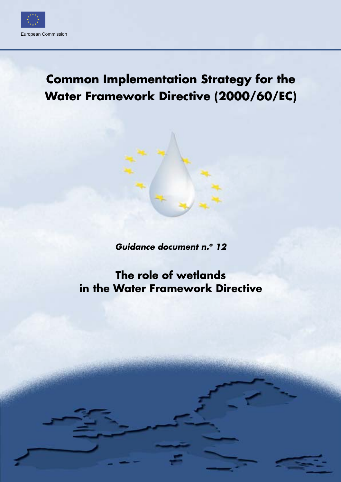

# **Common Implementation Strategy for the Water Framework Directive (2000/60/EC)**

*Guidance document n.o 12*

## **The role of wetlands in the Water Framework Directive**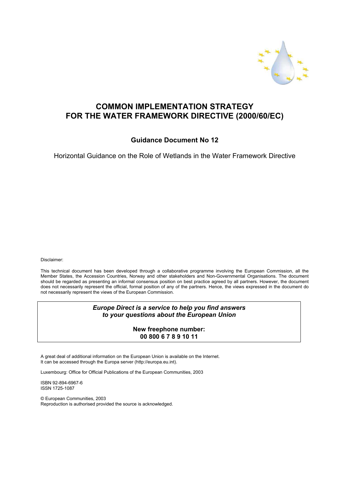

## **COMMON IMPLEMENTATION STRATEGY FOR THE WATER FRAMEWORK DIRECTIVE (2000/60/EC)**

**Guidance Document No 12** 

Horizontal Guidance on the Role of Wetlands in the Water Framework Directive

Disclaimer:

This technical document has been developed through a collaborative programme involving the European Commission, all the Member States, the Accession Countries, Norway and other stakeholders and Non-Governmental Organisations. The document should be regarded as presenting an informal consensus position on best practice agreed by all partners. However, the document does not necessarily represent the official, formal position of any of the partners. Hence, the views expressed in the document do not necessarily represent the views of the European Commission.

> *Europe Direct is a service to help you find answers to your questions about the European Union*

> > **New freephone number: 00 800 6 7 8 9 10 11**

A great deal of additional information on the European Union is available on the Internet. It can be accessed through the Europa server (http://europa.eu.int).

Luxembourg: Office for Official Publications of the European Communities, 2003

ISBN 92-894-6967-6 ISSN 1725-1087

© European Communities, 2003 Reproduction is authorised provided the source is acknowledged.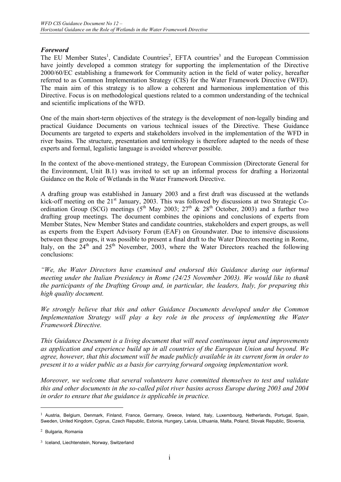## *Foreword*

The EU Member States<sup>1</sup>, Candidate Countries<sup>2</sup>, EFTA countries<sup>3</sup> and the European Commission have jointly developed a common strategy for supporting the implementation of the Directive 2000/60/EC establishing a framework for Community action in the field of water policy, hereafter referred to as Common Implementation Strategy (CIS) for the Water Framework Directive (WFD). The main aim of this strategy is to allow a coherent and harmonious implementation of this Directive. Focus is on methodological questions related to a common understanding of the technical and scientific implications of the WFD.

One of the main short-term objectives of the strategy is the development of non-legally binding and practical Guidance Documents on various technical issues of the Directive. These Guidance Documents are targeted to experts and stakeholders involved in the implementation of the WFD in river basins. The structure, presentation and terminology is therefore adapted to the needs of these experts and formal, legalistic language is avoided wherever possible.

In the context of the above-mentioned strategy, the European Commission (Directorate General for the Environment, Unit B.1) was invited to set up an informal process for drafting a Horizontal Guidance on the Role of Wetlands in the Water Framework Directive.

A drafting group was established in January 2003 and a first draft was discussed at the wetlands kick-off meeting on the 21<sup>st</sup> January, 2003. This was followed by discussions at two Strategic Coordination Group (SCG) meetings ( $5<sup>th</sup>$  May 2003;  $27<sup>th</sup>$  &  $28<sup>th</sup>$  October, 2003) and a further two drafting group meetings. The document combines the opinions and conclusions of experts from Member States, New Member States and candidate countries, stakeholders and expert groups, as well as experts from the Expert Advisory Forum (EAF) on Groundwater. Due to intensive discussions between these groups, it was possible to present a final draft to the Water Directors meeting in Rome, Italy, on the  $24<sup>th</sup>$  and  $25<sup>th</sup>$  November, 2003, where the Water Directors reached the following conclusions:

*"We, the Water Directors have examined and endorsed this Guidance during our informal meeting under the Italian Presidency in Rome (24/25 November 2003). We would like to thank the participants of the Drafting Group and, in particular, the leaders, Italy, for preparing this high quality document.* 

*We strongly believe that this and other Guidance Documents developed under the Common Implementation Strategy will play a key role in the process of implementing the Water Framework Directive.* 

*This Guidance Document is a living document that will need continuous input and improvements as application and experience build up in all countries of the European Union and beyond. We agree, however, that this document will be made publicly available in its current form in order to present it to a wider public as a basis for carrying forward ongoing implementation work.* 

*Moreover, we welcome that several volunteers have committed themselves to test and validate this and other documents in the so-called pilot river basins across Europe during 2003 and 2004 in order to ensure that the guidance is applicable in practice.* 

 $\overline{a}$ 

<sup>&</sup>lt;sup>1</sup> Austria, Belgium, Denmark, Finland, France, Germany, Greece, Ireland, Italy, Luxembourg, Netherlands, Portugal, Spain, Sweden, United Kingdom, Cyprus, Czech Republic, Estonia, Hungary, Latvia, Lithuania, Malta, Poland, Slovak Republic, Slovenia,

<sup>2</sup> Bulgaria, Romania

<sup>3</sup> Iceland, Liechtenstein, Norway, Switzerland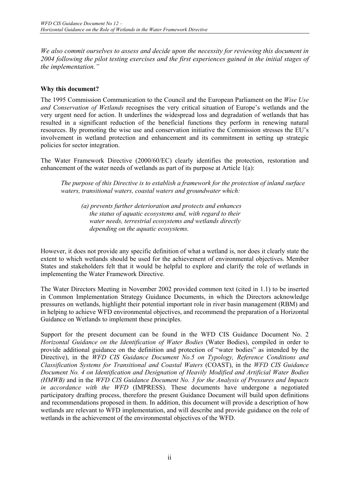*We also commit ourselves to assess and decide upon the necessity for reviewing this document in 2004 following the pilot testing exercises and the first experiences gained in the initial stages of the implementation."*

#### **Why this document?**

The 1995 Commission Communication to the Council and the European Parliament on the *Wise Use and Conservation of Wetlands* recognises the very critical situation of Europe's wetlands and the very urgent need for action. It underlines the widespread loss and degradation of wetlands that has resulted in a significant reduction of the beneficial functions they perform in renewing natural resources. By promoting the wise use and conservation initiative the Commission stresses the EU's involvement in wetland protection and enhancement and its commitment in setting up strategic policies for sector integration.

The Water Framework Directive (2000/60/EC) clearly identifies the protection, restoration and enhancement of the water needs of wetlands as part of its purpose at Article 1(a):

*The purpose of this Directive is to establish a framework for the protection of inland surface waters, transitional waters, coastal waters and groundwater which:* 

*(a) prevents further deterioration and protects and enhances the status of aquatic ecosystems and, with regard to their water needs, terrestrial ecosystems and wetlands directly depending on the aquatic ecosystems.*

However, it does not provide any specific definition of what a wetland is, nor does it clearly state the extent to which wetlands should be used for the achievement of environmental objectives. Member States and stakeholders felt that it would be helpful to explore and clarify the role of wetlands in implementing the Water Framework Directive.

The Water Directors Meeting in November 2002 provided common text (cited in 1.1) to be inserted in Common Implementation Strategy Guidance Documents, in which the Directors acknowledge pressures on wetlands, highlight their potential important role in river basin management (RBM) and in helping to achieve WFD environmental objectives, and recommend the preparation of a Horizontal Guidance on Wetlands to implement these principles.

Support for the present document can be found in the WFD CIS Guidance Document No. 2 *Horizontal Guidance on the Identification of Water Bodies* (Water Bodies), compiled in order to provide additional guidance on the definition and protection of "water bodies" as intended by the Directive), in the *WFD CIS Guidance Document No.5 on Typology, Reference Conditions and Classification Systems for Transitional and Coastal Waters* (COAST), in the *WFD CIS Guidance Document No. 4 on Identification and Designation of Heavily Modified and Artificial Water Bodies (HMWB)* and in the *WFD CIS Guidance Document No. 3 for the Analysis of Pressures and Impacts in accordance with the WFD* (IMPRESS). These documents have undergone a negotiated participatory drafting process, therefore the present Guidance Document will build upon definitions and recommendations proposed in them. In addition, this document will provide a description of how wetlands are relevant to WFD implementation, and will describe and provide guidance on the role of wetlands in the achievement of the environmental objectives of the WFD.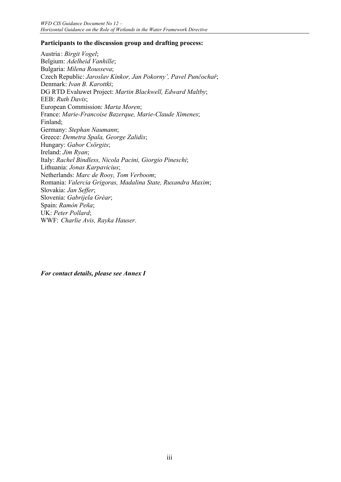#### **Participants to the discussion group and drafting process:**

Austria : *Birgit Vogel*; Belgium: *Adelheid Vanhille*; Bulgaria: *Milena Rousseva*; Czech Republic: *Jaroslav Kinkor, Jan Pokorny', Pavel Punčochař*; Denmark: *Ivan B. Karottki*; DG RTD Evaluwet Project: *Martin Blackwell, Edward Maltby*; EEB: *Ruth Davis*; European Commission: *Marta Moren*; France: *Marie-Francoise Bazerque, Marie-Claude Ximenes*; Finland; Germany: *Stephan Naumann*; Greece: *Demetra Spala, George Zalidis*; Hungary: *Gabor Csörgits*; Ireland: *Jim Ryan*; Italy: *Rachel Bindless, Nicola Pacini, Giorgio Pineschi*; Lithuania: *Jonas Karpavicius*; Netherlands: *Marc de Rooy, Tom Verboom*; Romania: *Valercia Grigoras, Madalina State, Ruxandra Maxim*; Slovakia: *Jan Seffer*; Slovenia: *Gabrijela Grèar*; Spain: *Ramòn Peña*; UK: *Peter Pollard*; WWF: *Charlie Avis, Rayka Hauser*.

*For contact details, please see Annex I*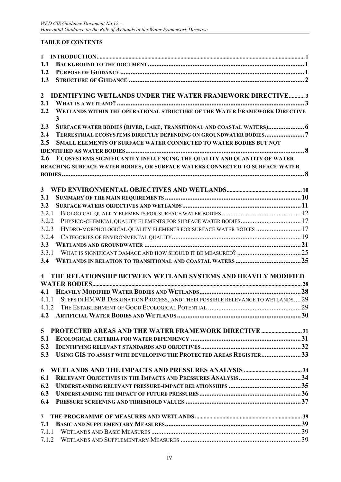## **TABLE OF CONTENTS**

| $\mathbf{1}$   |                                                                                 |  |
|----------------|---------------------------------------------------------------------------------|--|
| 1.1            |                                                                                 |  |
| 1.2            |                                                                                 |  |
| 1.3            |                                                                                 |  |
| $\overline{2}$ | <b>IDENTIFYING WETLANDS UNDER THE WATER FRAMEWORK DIRECTIVE3</b>                |  |
| 2.1            |                                                                                 |  |
| 2.2            | WETLANDS WITHIN THE OPERATIONAL STRUCTURE OF THE WATER FRAMEWORK DIRECTIVE<br>3 |  |
| 2.3            | SURFACE WATER BODIES (RIVER, LAKE, TRANSITIONAL AND COASTAL WATERS) 6           |  |
| 2.4            | TERRESTRIAL ECOSYSTEMS DIRECTLY DEPENDING ON GROUNDWATER BODIES7                |  |
| 2.5            | <b>SMALL ELEMENTS OF SURFACE WATER CONNECTED TO WATER BODIES BUT NOT</b>        |  |
|                |                                                                                 |  |
| 2.6            | ECOSYSTEMS SIGNIFICANTLY INFLUENCING THE QUALITY AND QUANTITY OF WATER          |  |
|                | REACHING SURFACE WATER BODIES, OR SURFACE WATERS CONNECTED TO SURFACE WATER     |  |
|                |                                                                                 |  |
| $\mathbf{3}$   |                                                                                 |  |
| 3.1            |                                                                                 |  |
| 3.2            |                                                                                 |  |
| 3.2.1          |                                                                                 |  |
| 3.2.2          | PHYSICO-CHEMICAL QUALITY ELEMENTS FOR SURFACE WATER BODIES 17                   |  |
| 3.2.3          | HYDRO-MORPHOLOGICAL QUALITY ELEMENTS FOR SURFACE WATER BODIES  17               |  |
| 3.2.4          |                                                                                 |  |
| 3.3            |                                                                                 |  |
| 3.3.1          |                                                                                 |  |
| 3.4            |                                                                                 |  |
|                |                                                                                 |  |
| $\overline{4}$ | THE RELATIONSHIP BETWEEN WETLAND SYSTEMS AND HEAVILY MODIFIED                   |  |
|                |                                                                                 |  |
| 4.1            |                                                                                 |  |
| 4.1.1          | STEPS IN HMWB DESIGNATION PROCESS, AND THEIR POSSIBLE RELEVANCE TO WETLANDS 29  |  |
|                |                                                                                 |  |
| 4.2            |                                                                                 |  |
|                |                                                                                 |  |
| 5              | <b>PROTECTED AREAS AND THE WATER FRAMEWORK DIRECTIVE 31</b>                     |  |
| 5.1            |                                                                                 |  |
| 5.2            |                                                                                 |  |
| 5.3            | USING GIS TO ASSIST WITH DEVELOPING THE PROTECTED AREAS REGISTER33              |  |
| 6              |                                                                                 |  |
| 6.1            |                                                                                 |  |
| 6.2            |                                                                                 |  |
| 6.3            |                                                                                 |  |
| 6.4            |                                                                                 |  |
| $\overline{7}$ |                                                                                 |  |
| 7.1            |                                                                                 |  |
| 7.1.1          |                                                                                 |  |
| 7.1.2          |                                                                                 |  |
|                |                                                                                 |  |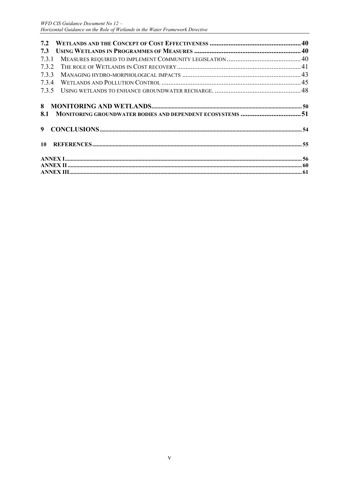| 7.2                                                              |  |
|------------------------------------------------------------------|--|
| 7.3                                                              |  |
| 7.3.1                                                            |  |
| 7.3.2                                                            |  |
| 7.3.3                                                            |  |
| 7.3.4                                                            |  |
| 7.3.5                                                            |  |
| MONITORING GROUNDWATER BODIES AND DEPENDENT ECOSYSTEMS 51<br>8.1 |  |
| 9                                                                |  |
| 10 <sup>1</sup>                                                  |  |
|                                                                  |  |
|                                                                  |  |
|                                                                  |  |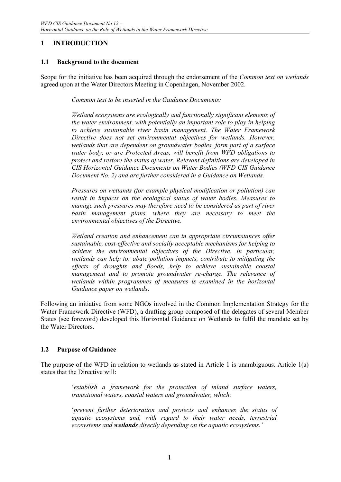## **1 INTRODUCTION**

## **1.1 Background to the document**

Scope for the initiative has been acquired through the endorsement of the *Common text on wetlands* agreed upon at the Water Directors Meeting in Copenhagen, November 2002.

*Common text to be inserted in the Guidance Documents:* 

*Wetland ecosystems are ecologically and functionally significant elements of the water environment, with potentially an important role to play in helping to achieve sustainable river basin management. The Water Framework Directive does not set environmental objectives for wetlands. However, wetlands that are dependent on groundwater bodies, form part of a surface water body, or are Protected Areas, will benefit from WFD obligations to protect and restore the status of water. Relevant definitions are developed in CIS Horizontal Guidance Documents on Water Bodies (WFD CIS Guidance Document No. 2) and are further considered in a Guidance on Wetlands.* 

*Pressures on wetlands (for example physical modification or pollution) can result in impacts on the ecological status of water bodies. Measures to manage such pressures may therefore need to be considered as part of river basin management plans, where they are necessary to meet the environmental objectives of the Directive.* 

*Wetland creation and enhancement can in appropriate circumstances offer sustainable, cost-effective and socially acceptable mechanisms for helping to achieve the environmental objectives of the Directive. In particular, wetlands can help to: abate pollution impacts, contribute to mitigating the effects of droughts and floods, help to achieve sustainable coastal management and to promote groundwater re-charge. The relevance of wetlands within programmes of measures is examined in the horizontal Guidance paper on wetlands*.

Following an initiative from some NGOs involved in the Common Implementation Strategy for the Water Framework Directive (WFD), a drafting group composed of the delegates of several Member States (see foreword) developed this Horizontal Guidance on Wetlands to fulfil the mandate set by the Water Directors.

## **1.2 Purpose of Guidance**

The purpose of the WFD in relation to wetlands as stated in Article 1 is unambiguous. Article 1(a) states that the Directive will:

> '*establish a framework for the protection of inland surface waters, transitional waters, coastal waters and groundwater, which:*

> '*prevent further deterioration and protects and enhances the status of aquatic ecosystems and, with regard to their water needs, terrestrial ecosystems and wetlands directly depending on the aquatic ecosystems.'*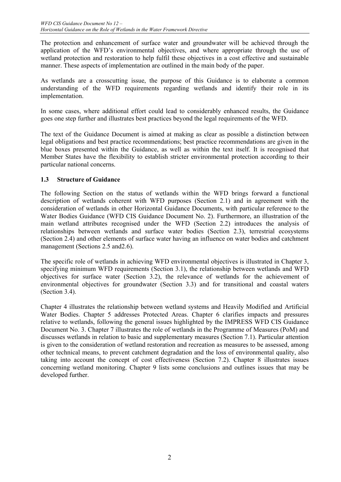The protection and enhancement of surface water and groundwater will be achieved through the application of the WFD's environmental objectives, and where appropriate through the use of wetland protection and restoration to help fulfil these objectives in a cost effective and sustainable manner. These aspects of implementation are outlined in the main body of the paper.

As wetlands are a crosscutting issue, the purpose of this Guidance is to elaborate a common understanding of the WFD requirements regarding wetlands and identify their role in its implementation.

In some cases, where additional effort could lead to considerably enhanced results, the Guidance goes one step further and illustrates best practices beyond the legal requirements of the WFD.

The text of the Guidance Document is aimed at making as clear as possible a distinction between legal obligations and best practice recommendations; best practice recommendations are given in the blue boxes presented within the Guidance, as well as within the text itself. It is recognised that Member States have the flexibility to establish stricter environmental protection according to their particular national concerns.

## **1.3 Structure of Guidance**

The following Section on the status of wetlands within the WFD brings forward a functional description of wetlands coherent with WFD purposes (Section 2.1) and in agreement with the consideration of wetlands in other Horizontal Guidance Documents, with particular reference to the Water Bodies Guidance (WFD CIS Guidance Document No. 2). Furthermore, an illustration of the main wetland attributes recognised under the WFD (Section 2.2) introduces the analysis of relationships between wetlands and surface water bodies (Section 2.3), terrestrial ecosystems (Section 2.4) and other elements of surface water having an influence on water bodies and catchment management (Sections 2.5 and 2.6).

The specific role of wetlands in achieving WFD environmental objectives is illustrated in Chapter 3, specifying minimum WFD requirements (Section 3.1), the relationship between wetlands and WFD objectives for surface water (Section 3.2), the relevance of wetlands for the achievement of environmental objectives for groundwater (Section 3.3) and for transitional and coastal waters (Section 3.4).

Chapter 4 illustrates the relationship between wetland systems and Heavily Modified and Artificial Water Bodies. Chapter 5 addresses Protected Areas. Chapter 6 clarifies impacts and pressures relative to wetlands, following the general issues highlighted by the IMPRESS WFD CIS Guidance Document No. 3. Chapter 7 illustrates the role of wetlands in the Programme of Measures (PoM) and discusses wetlands in relation to basic and supplementary measures (Section 7.1). Particular attention is given to the consideration of wetland restoration and recreation as measures to be assessed, among other technical means, to prevent catchment degradation and the loss of environmental quality, also taking into account the concept of cost effectiveness (Section 7.2). Chapter 8 illustrates issues concerning wetland monitoring. Chapter 9 lists some conclusions and outlines issues that may be developed further.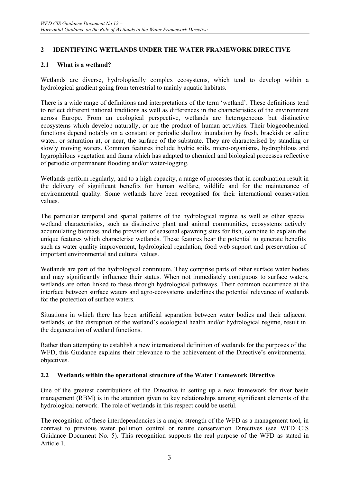## **2 IDENTIFYING WETLANDS UNDER THE WATER FRAMEWORK DIRECTIVE**

## **2.1 What is a wetland?**

Wetlands are diverse, hydrologically complex ecosystems, which tend to develop within a hydrological gradient going from terrestrial to mainly aquatic habitats.

There is a wide range of definitions and interpretations of the term 'wetland'. These definitions tend to reflect different national traditions as well as differences in the characteristics of the environment across Europe. From an ecological perspective, wetlands are heterogeneous but distinctive ecosystems which develop naturally, or are the product of human activities. Their biogeochemical functions depend notably on a constant or periodic shallow inundation by fresh, brackish or saline water, or saturation at, or near, the surface of the substrate. They are characterised by standing or slowly moving waters. Common features include hydric soils, micro-organisms, hydrophilous and hygrophilous vegetation and fauna which has adapted to chemical and biological processes reflective of periodic or permanent flooding and/or water-logging.

Wetlands perform regularly, and to a high capacity, a range of processes that in combination result in the delivery of significant benefits for human welfare, wildlife and for the maintenance of environmental quality. Some wetlands have been recognised for their international conservation values.

The particular temporal and spatial patterns of the hydrological regime as well as other special wetland characteristics, such as distinctive plant and animal communities, ecosystems actively accumulating biomass and the provision of seasonal spawning sites for fish, combine to explain the unique features which characterise wetlands. These features bear the potential to generate benefits such as water quality improvement, hydrological regulation, food web support and preservation of important environmental and cultural values.

Wetlands are part of the hydrological continuum. They comprise parts of other surface water bodies and may significantly influence their status. When not immediately contiguous to surface waters, wetlands are often linked to these through hydrological pathways. Their common occurrence at the interface between surface waters and agro-ecosystems underlines the potential relevance of wetlands for the protection of surface waters.

Situations in which there has been artificial separation between water bodies and their adjacent wetlands, or the disruption of the wetland's ecological health and/or hydrological regime, result in the degeneration of wetland functions.

Rather than attempting to establish a new international definition of wetlands for the purposes of the WFD, this Guidance explains their relevance to the achievement of the Directive's environmental objectives.

#### **2.2 Wetlands within the operational structure of the Water Framework Directive**

One of the greatest contributions of the Directive in setting up a new framework for river basin management (RBM) is in the attention given to key relationships among significant elements of the hydrological network. The role of wetlands in this respect could be useful.

The recognition of these interdependencies is a major strength of the WFD as a management tool, in contrast to previous water pollution control or nature conservation Directives (see WFD CIS Guidance Document No. 5). This recognition supports the real purpose of the WFD as stated in Article 1.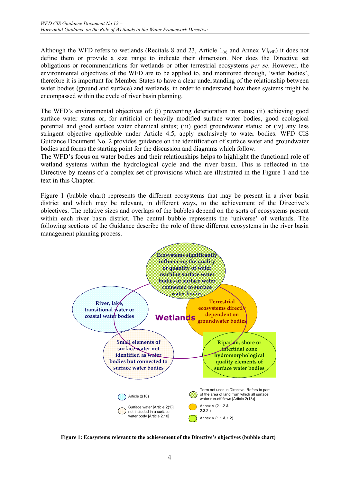Although the WFD refers to wetlands (Recitals 8 and 23, Article  $1_{(a)}$  and Annex VI<sub>(vii)</sub>) it does not define them or provide a size range to indicate their dimension. Nor does the Directive set obligations or recommendations for wetlands or other terrestrial ecosystems *per se*. However, the environmental objectives of the WFD are to be applied to, and monitored through, 'water bodies', therefore it is important for Member States to have a clear understanding of the relationship between water bodies (ground and surface) and wetlands, in order to understand how these systems might be encompassed within the cycle of river basin planning.

The WFD's environmental objectives of: (i) preventing deterioration in status; (ii) achieving good surface water status or, for artificial or heavily modified surface water bodies, good ecological potential and good surface water chemical status; (iii) good groundwater status; or (iv) any less stringent objective applicable under Article 4.5, apply exclusively to water bodies. WFD CIS Guidance Document No. 2 provides guidance on the identification of surface water and groundwater bodies and forms the starting point for the discussion and diagrams which follow.

The WFD's focus on water bodies and their relationships helps to highlight the functional role of wetland systems within the hydrological cycle and the river basin. This is reflected in the Directive by means of a complex set of provisions which are illustrated in the Figure 1 and the text in this Chapter.

Figure 1 (bubble chart) represents the different ecosystems that may be present in a river basin district and which may be relevant, in different ways, to the achievement of the Directive's objectives. The relative sizes and overlaps of the bubbles depend on the sorts of ecosystems present within each river basin district. The central bubble represents the 'universe' of wetlands. The following sections of the Guidance describe the role of these different ecosystems in the river basin management planning process.



**Figure 1: Ecosystems relevant to the achievement of the Directive's objectives (bubble chart)**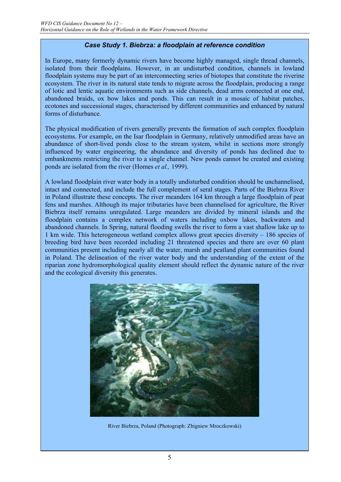## *Case Study 1. Biebrza: a floodplain at reference condition*

In Europe, many formerly dynamic rivers have become highly managed, single thread channels, isolated from their floodplains. However, in an undisturbed condition, channels in lowland floodplain systems may be part of an interconnecting series of biotopes that constitute the riverine ecosystem. The river in its natural state tends to migrate across the floodplain, producing a range of lotic and lentic aquatic environments such as side channels, dead arms connected at one end, abandoned braids, ox bow lakes and ponds. This can result in a mosaic of habitat patches, ecotones and successional stages, characterised by different communities and enhanced by natural forms of disturbance.

The physical modification of rivers generally prevents the formation of such complex floodplain ecosystems. For example, on the Isar floodplain in Germany, relatively unmodified areas have an abundance of short-lived ponds close to the stream system, whilst in sections more strongly influenced by water engineering, the abundance and diversity of ponds has declined due to embankments restricting the river to a single channel. New ponds cannot be created and existing ponds are isolated from the river (Homes *et al.,* 1999).

A lowland floodplain river water body in a totally undisturbed condition should be unchannelised, intact and connected, and include the full complement of seral stages. Parts of the Biebrza River in Poland illustrate these concepts. The river meanders 164 km through a large floodplain of peat fens and marshes. Although its major tributaries have been channelised for agriculture, the River Biebrza itself remains unregulated. Large meanders are divided by mineral islands and the floodplain contains a complex network of waters including oxbow lakes, backwaters and abandoned channels. In Spring, natural flooding swells the river to form a vast shallow lake up to 1 km wide. This heterogeneous wetland complex allows great species diversity – 186 species of breeding bird have been recorded including 21 threatened species and there are over 60 plant communities present including nearly all the water, marsh and peatland plant communities found in Poland. The delineation of the river water body and the understanding of the extent of the riparian zone hydromorphological quality element should reflect the dynamic nature of the river and the ecological diversity this generates.



River Biebrza, Poland (Photograph: Zbigniew Mroczkowski)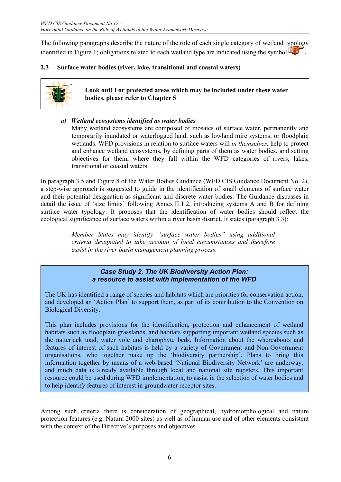The following paragraphs describe the nature of the role of each single category of wetland typology identified in Figure 1; obligations related to each wetland type are indicated using the symbol **.** 

## **2.3 Surface water bodies (river, lake, transitional and coastal waters)**



**Look out! For protected areas which may be included under these water bodies, please refer to Chapter 5**.

## *a) Wetland ecosystems identified as water bodies*

Many wetland ecosystems are composed of mosaics of surface water, permanently and temporarily inundated or waterlogged land, such as lowland mire systems, or floodplain wetlands. WFD provisions in relation to surface waters will *in themselves,* help to protect and enhance wetland ecosystems, by defining parts of them as water bodies, and setting objectives for them, where they fall within the WFD categories of rivers, lakes, transitional or coastal waters.

In paragraph 3.5 and Figure 8 of the Water Bodies Guidance (WFD CIS Guidance Document No. 2), a step-wise approach is suggested to guide in the identification of small elements of surface water and their potential designation as significant and discrete water bodies. The Guidance discusses in detail the issue of 'size limits' following Annex II.1.2, introducing systems A and B for defining surface water typology. It proposes that the identification of water bodies should reflect the ecological significance of surface waters within a river basin district. It states (paragraph 3.3):

> *Member States may identify "surface water bodies" using additional criteria designated to take account of local circumstances and therefore assist in the river basin management planning process.*

## *Case Study 2. The UK Biodiversity Action Plan: a resource to assist with implementation of the WFD*

The UK has identified a range of species and habitats which are priorities for conservation action, and developed an 'Action Plan' to support them, as part of its contribution to the Convention on Biological Diversity.

This plan includes provisions for the identification, protection and enhancement of wetland habitats such as floodplain grasslands, and habitats supporting important wetland species such as the natterjack toad, water vole and charophyte beds. Information about the whereabouts and features of interest of such habitats is held by a variety of Government and Non-Government organisations, who together make up the 'biodiversity partnership'. Plans to bring this information together by means of a web-based 'National Biodiversity Network' are underway, and much data is already available through local and national site registers. This important resource could be used during WFD implementation, to assist in the selection of water bodies and to help identify features of interest in groundwater receptor sites.

Among such criteria there is consideration of geographical, hydromorphological and nature protection features (e.g. Natura 2000 sites) as well as of human use and of other elements consistent with the context of the Directive's purposes and objectives.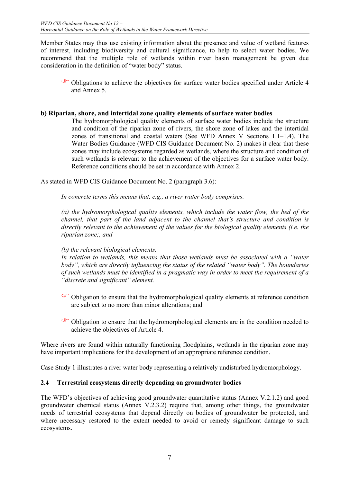Member States may thus use existing information about the presence and value of wetland features of interest, including biodiversity and cultural significance, to help to select water bodies. We recommend that the multiple role of wetlands within river basin management be given due consideration in the definition of "water body" status.

) Obligations to achieve the objectives for surface water bodies specified under Article 4 and Annex 5.

## **b) Riparian, shore, and intertidal zone quality elements of surface water bodies**

The hydromorphological quality elements of surface water bodies include the structure and condition of the riparian zone of rivers, the shore zone of lakes and the intertidal zones of transitional and coastal waters (See WFD Annex V Sections 1.1–1.4). The Water Bodies Guidance (WFD CIS Guidance Document No. 2) makes it clear that these zones may include ecosystems regarded as wetlands, where the structure and condition of such wetlands is relevant to the achievement of the objectives for a surface water body. Reference conditions should be set in accordance with Annex 2.

As stated in WFD CIS Guidance Document No. 2 (paragraph 3.6):

*In concrete terms this means that, e.g., a river water body comprises:* 

*(a) the hydromorphological quality elements, which include the water flow, the bed of the channel, that part of the land adjacent to the channel that's structure and condition is directly relevant to the achievement of the values for the biological quality elements (i.e. the riparian zone;, and* 

## *(b) the relevant biological elements.*

*In relation to wetlands, this means that those wetlands must be associated with a "water body", which are directly influencing the status of the related "water body". The boundaries of such wetlands must be identified in a pragmatic way in order to meet the requirement of a "discrete and significant" element.*

- ) Obligation to ensure that the hydromorphological quality elements at reference condition are subject to no more than minor alterations; and
- ) Obligation to ensure that the hydromorphological elements are in the condition needed to achieve the objectives of Article 4.

Where rivers are found within naturally functioning floodplains, wetlands in the riparian zone may have important implications for the development of an appropriate reference condition.

Case Study 1 illustrates a river water body representing a relatively undisturbed hydromorphology.

## **2.4 Terrestrial ecosystems directly depending on groundwater bodies**

The WFD's objectives of achieving good groundwater quantitative status (Annex V.2.1.2) and good groundwater chemical status (Annex V.2.3.2) require that, among other things, the groundwater needs of terrestrial ecosystems that depend directly on bodies of groundwater be protected, and where necessary restored to the extent needed to avoid or remedy significant damage to such ecosystems.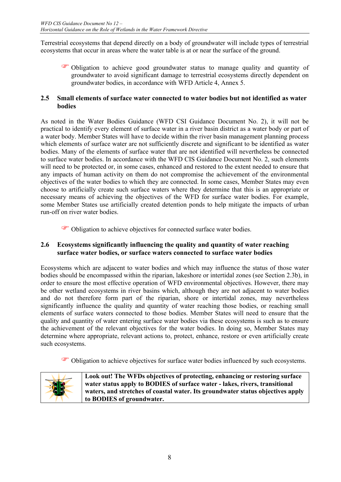Terrestrial ecosystems that depend directly on a body of groundwater will include types of terrestrial ecosystems that occur in areas where the water table is at or near the surface of the ground.

) Obligation to achieve good groundwater status to manage quality and quantity of groundwater to avoid significant damage to terrestrial ecosystems directly dependent on groundwater bodies, in accordance with WFD Article 4, Annex 5.

## **2.5 Small elements of surface water connected to water bodies but not identified as water bodies**

As noted in the Water Bodies Guidance (WFD CSI Guidance Document No. 2), it will not be practical to identify every element of surface water in a river basin district as a water body or part of a water body. Member States will have to decide within the river basin management planning process which elements of surface water are not sufficiently discrete and significant to be identified as water bodies. Many of the elements of surface water that are not identified will nevertheless be connected to surface water bodies. In accordance with the WFD CIS Guidance Document No. 2, such elements will need to be protected or, in some cases, enhanced and restored to the extent needed to ensure that any impacts of human activity on them do not compromise the achievement of the environmental objectives of the water bodies to which they are connected. In some cases, Member States may even choose to artificially create such surface waters where they determine that this is an appropriate or necessary means of achieving the objectives of the WFD for surface water bodies. For example, some Member States use artificially created detention ponds to help mitigate the impacts of urban run-off on river water bodies.

) Obligation to achieve objectives for connected surface water bodies.

## **2.6 Ecosystems significantly influencing the quality and quantity of water reaching surface water bodies, or surface waters connected to surface water bodies**

Ecosystems which are adjacent to water bodies and which may influence the status of those water bodies should be encompassed within the riparian, lakeshore or intertidal zones (see Section 2.3b), in order to ensure the most effective operation of WFD environmental objectives. However, there may be other wetland ecosystems in river basins which, although they are not adjacent to water bodies and do not therefore form part of the riparian, shore or intertidal zones, may nevertheless significantly influence the quality and quantity of water reaching those bodies, or reaching small elements of surface waters connected to those bodies. Member States will need to ensure that the quality and quantity of water entering surface water bodies via these ecosystems is such as to ensure the achievement of the relevant objectives for the water bodies. In doing so, Member States may determine where appropriate, relevant actions to, protect, enhance, restore or even artificially create such ecosystems.

) Obligation to achieve objectives for surface water bodies influenced by such ecosystems.



**Look out! The WFDs objectives of protecting, enhancing or restoring surface water status apply to BODIES of surface water - lakes, rivers, transitional waters, and stretches of coastal water. Its groundwater status objectives apply to BODIES of groundwater.**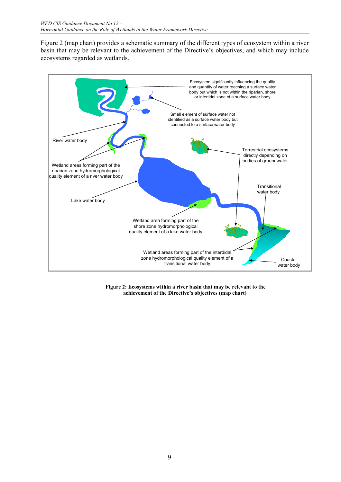Figure 2 (map chart) provides a schematic summary of the different types of ecosystem within a river basin that may be relevant to the achievement of the Directive's objectives, and which may include ecosystems regarded as wetlands.



 **Figure 2: Ecosystems within a river basin that may be relevant to the achievement of the Directive's objectives (map chart)**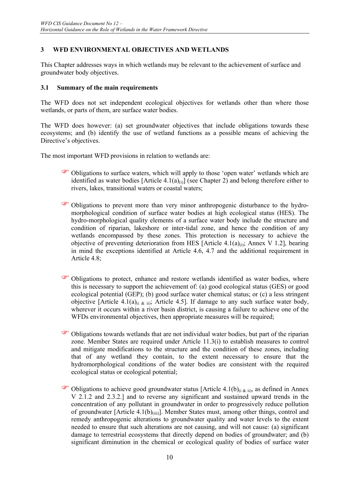## **3 WFD ENVIRONMENTAL OBJECTIVES AND WETLANDS**

This Chapter addresses ways in which wetlands may be relevant to the achievement of surface and groundwater body objectives.

#### **3.1 Summary of the main requirements**

The WFD does not set independent ecological objectives for wetlands other than where those wetlands, or parts of them, are surface water bodies.

The WFD does however: (a) set groundwater objectives that include obligations towards these ecosystems; and (b) identify the use of wetland functions as a possible means of achieving the Directive's objectives.

The most important WFD provisions in relation to wetlands are:

- ) Obligations to surface waters, which will apply to those 'open water' wetlands which are identified as water bodies [Article 4.1(a)<sub>(i)</sub>] (see Chapter 2) and belong therefore either to rivers, lakes, transitional waters or coastal waters;
- ) Obligations to prevent more than very minor anthropogenic disturbance to the hydromorphological condition of surface water bodies at high ecological status (HES). The hydro-morphological quality elements of a surface water body include the structure and condition of riparian, lakeshore or inter-tidal zone, and hence the condition of any wetlands encompassed by these zones. This protection is necessary to achieve the objective of preventing deterioration from HES [Article 4.1(a) $_{(i)}$ ; Annex V 1.2], bearing in mind the exceptions identified at Article 4.6, 4.7 and the additional requirement in Article 4.8;
- ) Obligations to protect, enhance and restore wetlands identified as water bodies, where this is necessary to support the achievement of: (a) good ecological status (GES) or good ecological potential (GEP); (b) good surface water chemical status; or (c) a less stringent objective [Article 4.1(a)<sub>(i & ii</sub>); Article 4.5]. If damage to any such surface water body, wherever it occurs within a river basin district, is causing a failure to achieve one of the WFDs environmental objectives, then appropriate measures will be required;
- ) Obligations towards wetlands that are not individual water bodies, but part of the riparian zone. Member States are required under Article 11.3(i) to establish measures to control and mitigate modifications to the structure and the condition of these zones, including that of any wetland they contain, to the extent necessary to ensure that the hydromorphological conditions of the water bodies are consistent with the required ecological status or ecological potential;
- Obligations to achieve good groundwater status [Article 4.1(b) $_{(i \& ii)}$ , as defined in Annex V 2.1.2 and 2.3.2.] and to reverse any significant and sustained upward trends in the concentration of any pollutant in groundwater in order to progressively reduce pollution of groundwater [Article  $4.1(b)_{(iii)}$ ]. Member States must, among other things, control and remedy anthropogenic alterations to groundwater quality and water levels to the extent needed to ensure that such alterations are not causing, and will not cause: (a) significant damage to terrestrial ecosystems that directly depend on bodies of groundwater; and (b) significant diminution in the chemical or ecological quality of bodies of surface water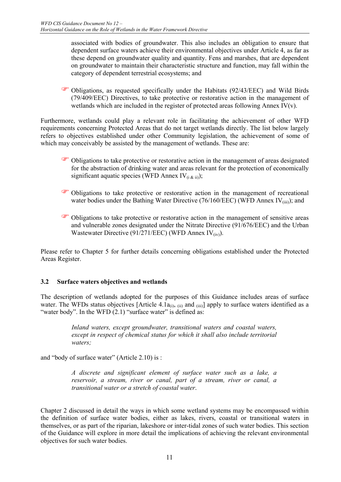associated with bodies of groundwater. This also includes an obligation to ensure that dependent surface waters achieve their environmental objectives under Article 4, as far as these depend on groundwater quality and quantity. Fens and marshes, that are dependent on groundwater to maintain their characteristic structure and function, may fall within the category of dependent terrestrial ecosystems; and

) Obligations, as requested specifically under the Habitats (92/43/EEC) and Wild Birds (79/409/EEC) Directives, to take protective or restorative action in the management of wetlands which are included in the register of protected areas following Annex IV( $v$ ).

Furthermore, wetlands could play a relevant role in facilitating the achievement of other WFD requirements concerning Protected Areas that do not target wetlands directly. The list below largely refers to objectives established under other Community legislation, the achievement of some of which may conceivably be assisted by the management of wetlands. These are:

- ) Obligations to take protective or restorative action in the management of areas designated for the abstraction of drinking water and areas relevant for the protection of economically significant aquatic species (WFD Annex  $IV_{(i, k \text{ ii})}$ );
- ) Obligations to take protective or restorative action in the management of recreational water bodies under the Bathing Water Directive (76/160/EEC) (WFD Annex  $IV<sub>(iii)</sub>$ ); and
- ) Obligations to take protective or restorative action in the management of sensitive areas and vulnerable zones designated under the Nitrate Directive (91/676/EEC) and the Urban Wastewater Directive (91/271/EEC) (WFD Annex  $IV_{(iv)}$ ).

Please refer to Chapter 5 for further details concerning obligations established under the Protected Areas Register.

## **3.2 Surface waters objectives and wetlands**

The description of wetlands adopted for the purposes of this Guidance includes areas of surface water. The WFDs status objectives [Article 4.1 $a_{(i)}$ ,  $a_{(i)}$  and  $a_{(ii)}$ ] apply to surface waters identified as a "water body". In the WFD  $(2.1)$  "surface water" is defined as:

> *Inland waters, except groundwater, transitional waters and coastal waters, except in respect of chemical status for which it shall also include territorial waters;*

and "body of surface water" (Article 2.10) is :

*A discrete and significant element of surface water such as a lake, a reservoir, a stream, river or canal, part of a stream, river or canal, a transitional water or a stretch of coastal water*.

Chapter 2 discussed in detail the ways in which some wetland systems may be encompassed within the definition of surface water bodies, either as lakes, rivers, coastal or transitional waters in themselves, or as part of the riparian, lakeshore or inter-tidal zones of such water bodies. This section of the Guidance will explore in more detail the implications of achieving the relevant environmental objectives for such water bodies.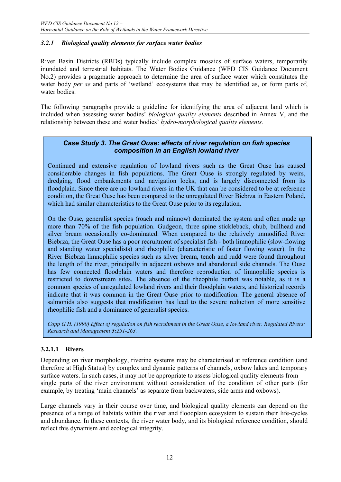## *3.2.1 Biological quality elements for surface water bodies*

River Basin Districts (RBDs) typically include complex mosaics of surface waters, temporarily inundated and terrestrial habitats. The Water Bodies Guidance (WFD CIS Guidance Document No.2) provides a pragmatic approach to determine the area of surface water which constitutes the water body *per se* and parts of 'wetland' ecosystems that may be identified as, or form parts of, water bodies.

The following paragraphs provide a guideline for identifying the area of adjacent land which is included when assessing water bodies' *biological quality elements* described in Annex V, and the relationship between these and water bodies' *hydro-morphological quality elements.*

## *Case Study 3. The Great Ouse: effects of river regulation on fish species composition in an English lowland river*

Continued and extensive regulation of lowland rivers such as the Great Ouse has caused considerable changes in fish populations. The Great Ouse is strongly regulated by weirs, dredging, flood embankments and navigation locks, and is largely disconnected from its floodplain. Since there are no lowland rivers in the UK that can be considered to be at reference condition, the Great Ouse has been compared to the unregulated River Biebrza in Eastern Poland, which had similar characteristics to the Great Ouse prior to its regulation.

On the Ouse, generalist species (roach and minnow) dominated the system and often made up more than 70% of the fish population. Gudgeon, three spine stickleback, chub, bullhead and silver bream occasionally co-dominated. When compared to the relatively unmodified River Biebrza, the Great Ouse has a poor recruitment of specialist fish - both limnophilic (slow-flowing and standing water specialists) and rheophilic (characteristic of faster flowing water). In the River Biebrza limnophilic species such as silver bream, tench and rudd were found throughout the length of the river, principally in adjacent oxbows and abandoned side channels. The Ouse has few connected floodplain waters and therefore reproduction of limnophilic species is restricted to downstream sites. The absence of the rheophile burbot was notable, as it is a common species of unregulated lowland rivers and their floodplain waters, and historical records indicate that it was common in the Great Ouse prior to modification. The general absence of salmonids also suggests that modification has lead to the severe reduction of more sensitive rheophilic fish and a dominance of generalist species.

*Copp G.H. (1990) Effect of regulation on fish recruitment in the Great Ouse, a lowland river. Regulated Rivers: Research and Management 5:251-263.* 

## **3.2.1.1 Rivers**

Depending on river morphology, riverine systems may be characterised at reference condition (and therefore at High Status) by complex and dynamic patterns of channels, oxbow lakes and temporary surface waters. In such cases, it may not be appropriate to assess biological quality elements from single parts of the river environment without consideration of the condition of other parts (for example, by treating 'main channels' as separate from backwaters, side arms and oxbows).

Large channels vary in their course over time, and biological quality elements can depend on the presence of a range of habitats within the river and floodplain ecosystem to sustain their life-cycles and abundance. In these contexts, the river water body, and its biological reference condition, should reflect this dynamism and ecological integrity.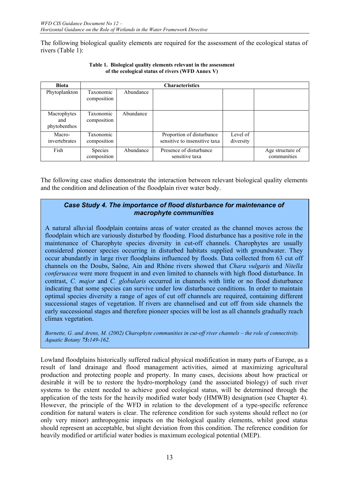The following biological quality elements are required for the assessment of the ecological status of rivers (Table 1):

| <b>Biota</b>                       | <b>Characteristics</b>        |           |                                                            |                       |                                 |
|------------------------------------|-------------------------------|-----------|------------------------------------------------------------|-----------------------|---------------------------------|
| Phytoplankton                      | Taxonomic<br>composition      | Abundance |                                                            |                       |                                 |
| Macrophytes<br>and<br>phytobenthos | Taxonomic<br>composition      | Abundance |                                                            |                       |                                 |
| Macro-<br>invertebrates            | Taxonomic<br>composition      |           | Proportion of disturbance<br>sensitive to insensitive taxa | Level of<br>diversity |                                 |
| Fish                               | <b>Species</b><br>composition | Abundance | Presence of disturbance<br>sensitive taxa                  |                       | Age structure of<br>communities |

**Table 1. Biological quality elements relevant in the assessment of the ecological status of rivers (WFD Annex V)**

The following case studies demonstrate the interaction between relevant biological quality elements and the condition and delineation of the floodplain river water body.

## *Case Study 4. The importance of flood disturbance for maintenance of macrophyte communities*

A natural alluvial floodplain contains areas of water created as the channel moves across the floodplain which are variously disturbed by flooding. Flood disturbance has a positive role in the maintenance of Charophyte species diversity in cut-off channels. Charophytes are usually considered pioneer species occurring in disturbed habitats supplied with groundwater. They occur abundantly in large river floodplains influenced by floods. Data collected from 63 cut off channels on the Doubs, Saône, Ain and Rhône rivers showed that *Chara vulgaris* and *Nitella conferuacea* were more frequent in and even limited to channels with high flood disturbance. In contrast, *C. major* and *C. globularis* occurred in channels with little or no flood disturbance indicating that some species can survive under low disturbance conditions. In order to maintain optimal species diversity a range of ages of cut off channels are required, containing different successional stages of vegetation. If rivers are channelised and cut off from side channels the early successional stages and therefore pioneer species will be lost as all channels gradually reach climax vegetation.

*Bornette, G. and Arens, M. (2002) Charophyte communities in cut-off river channels – the role of connectivity. Aquatic Botany 73:149-162.* 

Lowland floodplains historically suffered radical physical modification in many parts of Europe, as a result of land drainage and flood management activities, aimed at maximizing agricultural production and protecting people and property. In many cases, decisions about how practical or desirable it will be to restore the hydro-morphology (and the associated biology) of such river systems to the extent needed to achieve good ecological status, will be determined through the application of the tests for the heavily modified water body (HMWB) designation (see Chapter 4). However, the principle of the WFD in relation to the development of a type-specific reference condition for natural waters is clear. The reference condition for such systems should reflect no (or only very minor) anthropogenic impacts on the biological quality elements, whilst good status should represent an acceptable, but slight deviation from this condition. The reference condition for heavily modified or artificial water bodies is maximum ecological potential (MEP).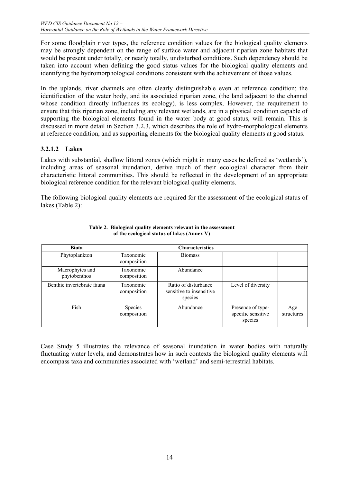For some floodplain river types, the reference condition values for the biological quality elements may be strongly dependent on the range of surface water and adjacent riparian zone habitats that would be present under totally, or nearly totally, undisturbed conditions. Such dependency should be taken into account when defining the good status values for the biological quality elements and identifying the hydromorphological conditions consistent with the achievement of those values.

In the uplands, river channels are often clearly distinguishable even at reference condition; the identification of the water body, and its associated riparian zone, (the land adjacent to the channel whose condition directly influences its ecology), is less complex. However, the requirement to ensure that this riparian zone, including any relevant wetlands, are in a physical condition capable of supporting the biological elements found in the water body at good status, will remain. This is discussed in more detail in Section 3.2.3, which describes the role of hydro-morphological elements at reference condition, and as supporting elements for the biological quality elements at good status.

## **3.2.1.2 Lakes**

Lakes with substantial, shallow littoral zones (which might in many cases be defined as 'wetlands'), including areas of seasonal inundation, derive much of their ecological character from their characteristic littoral communities. This should be reflected in the development of an appropriate biological reference condition for the relevant biological quality elements.

The following biological quality elements are required for the assessment of the ecological status of lakes (Table 2):

| <b>Biota</b>                    |                                 | <b>Characteristics</b>                                      |                                                    |                   |
|---------------------------------|---------------------------------|-------------------------------------------------------------|----------------------------------------------------|-------------------|
| Phytoplankton                   | Taxonomic<br>composition        | <b>Biomass</b>                                              |                                                    |                   |
| Macrophytes and<br>phytobenthos | Taxonomic<br>composition        | Abundance                                                   |                                                    |                   |
| Benthic invertebrate fauna      | <b>Taxonomic</b><br>composition | Ratio of disturbance<br>sensitive to insensitive<br>species | Level of diversity                                 |                   |
| Fish                            | <b>Species</b><br>composition   | Abundance                                                   | Presence of type-<br>specific sensitive<br>species | Age<br>structures |

#### **Table 2. Biological quality elements relevant in the assessment of the ecological status of lakes (Annex V)**

Case Study 5 illustrates the relevance of seasonal inundation in water bodies with naturally fluctuating water levels, and demonstrates how in such contexts the biological quality elements will encompass taxa and communities associated with 'wetland' and semi-terrestrial habitats.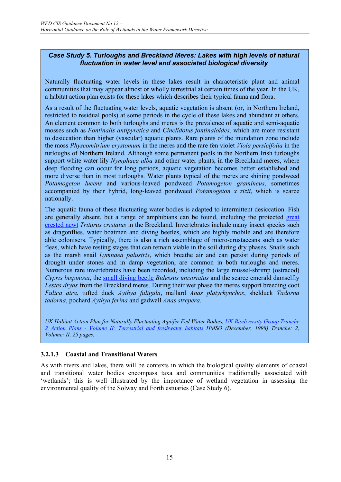## *Case Study 5. Turloughs and Breckland Meres: Lakes with high levels of natural fluctuation in water level and associated biological diversity*

Naturally fluctuating water levels in these lakes result in characteristic plant and animal communities that may appear almost or wholly terrestrial at certain times of the year. In the UK, a habitat action plan exists for these lakes which describes their typical fauna and flora.

As a result of the fluctuating water levels, aquatic vegetation is absent (or, in Northern Ireland, restricted to residual pools) at some periods in the cycle of these lakes and abundant at others. An element common to both turloughs and meres is the prevalence of aquatic and semi-aquatic mosses such as *Fontinalis antipyretica* and *Cinclidotus fontinaloides*, which are more resistant to desiccation than higher (vascular) aquatic plants. Rare plants of the inundation zone include the moss *Physcomitrium erystomum* in the meres and the rare fen violet *Viola persicifolia* in the turloughs of Northern Ireland. Although some permanent pools in the Northern Irish turloughs support white water lily *Nymphaea alba* and other water plants, in the Breckland meres, where deep flooding can occur for long periods, aquatic vegetation becomes better established and more diverse than in most turloughs. Water plants typical of the meres are shining pondweed *Potamogeton lucens* and various-leaved pondweed *Potamogeton gramineus*, sometimes accompanied by their hybrid, long-leaved pondweed *Potamogeton x zizii*, which is scarce nationally.

The aquatic fauna of these fluctuating water bodies is adapted to intermittent desiccation. Fish are generally absent, but a range of amphibians can be found, including the protected great crested newt *Triturus cristatus* in the Breckland. Invertebrates include many insect species such as dragonflies, water boatmen and diving beetles, which are highly mobile and are therefore able colonisers. Typically, there is also a rich assemblage of micro-crustaceans such as water fleas, which have resting stages that can remain viable in the soil during dry phases. Snails such as the marsh snail *Lymnaea palustris*, which breathe air and can persist during periods of drought under stones and in damp vegetation, are common in both turloughs and meres. Numerous rare invertebrates have been recorded, including the large mussel-shrimp (ostracod) *Cypris bispinosa*, the small diving beetle *Bidessus unistriatus* and the scarce emerald damselfly *Lestes dryas* from the Breckland meres. During their wet phase the meres support breeding coot *Fulica atra*, tufted duck *Aythya fuligula*, mallard *Anas platyrhynchos*, shelduck *Tadorna tadorna*, pochard *Aythya ferina* and gadwall *Anas strepera*.

*UK Habitat Action Plan for Naturally Fluctuating Aquifer Fed Water Bodies, UK Biodiversity Group Tranche 2 Action Plans - Volume II: Terrestrial and freshwater habitats HMSO (December, 1998) Tranche: 2, Volume: II, 25 pages.*

## **3.2.1.3 Coastal and Transitional Waters**

As with rivers and lakes, there will be contexts in which the biological quality elements of coastal and transitional water bodies encompass taxa and communities traditionally associated with 'wetlands'; this is well illustrated by the importance of wetland vegetation in assessing the environmental quality of the Solway and Forth estuaries (Case Study 6).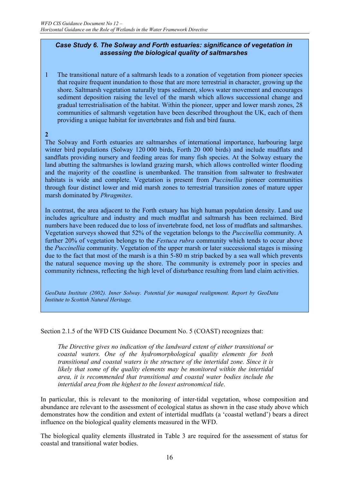#### *Case Study 6. The Solway and Forth estuaries: significance of vegetation in assessing the biological quality of saltmarshes*

1 The transitional nature of a saltmarsh leads to a zonation of vegetation from pioneer species that require frequent inundation to those that are more terrestrial in character, growing up the shore. Saltmarsh vegetation naturally traps sediment, slows water movement and encourages sediment deposition raising the level of the marsh which allows successional change and gradual terrestrialisation of the habitat. Within the pioneer, upper and lower marsh zones, 28 communities of saltmarsh vegetation have been described throughout the UK, each of them providing a unique habitat for invertebrates and fish and bird fauna.

#### **2**

The Solway and Forth estuaries are saltmarshes of international importance, harbouring large winter bird populations (Solway 120 000 birds, Forth 20 000 birds) and include mudflats and sandflats providing nursery and feeding areas for many fish species. At the Solway estuary the land abutting the saltmarshes is lowland grazing marsh, which allows controlled winter flooding and the majority of the coastline is unembanked. The transition from saltwater to freshwater habitats is wide and complete. Vegetation is present from *Puccinellia* pioneer communities through four distinct lower and mid marsh zones to terrestrial transition zones of mature upper marsh dominated by *Phragmites*.

In contrast, the area adjacent to the Forth estuary has high human population density. Land use includes agriculture and industry and much mudflat and saltmarsh has been reclaimed. Bird numbers have been reduced due to loss of invertebrate food, net loss of mudflats and saltmarshes. Vegetation surveys showed that 52% of the vegetation belongs to the *Puccinellia* community. A further 20% of vegetation belongs to the *Festuca rubra* community which tends to occur above the *Puccinellia* community. Vegetation of the upper marsh or later successional stages is missing due to the fact that most of the marsh is a thin 5-80 m strip backed by a sea wall which prevents the natural sequence moving up the shore. The community is extremely poor in species and community richness, reflecting the high level of disturbance resulting from land claim activities.

*GeoData Institute (2002). Inner Solway. Potential for managed realignment. Report by GeoData Institute to Scottish Natural Heritage.* 

#### Section 2.1.5 of the WFD CIS Guidance Document No. 5 (COAST) recognizes that:

*The Directive gives no indication of the landward extent of either transitional or coastal waters. One of the hydromorphological quality elements for both transitional and coastal waters is the structure of the intertidal zone. Since it is*  likely that some of the quality elements may be monitored within the intertidal *area, it is recommended that transitional and coastal water bodies include the intertidal area from the highest to the lowest astronomical tide*.

In particular, this is relevant to the monitoring of inter-tidal vegetation, whose composition and abundance are relevant to the assessment of ecological status as shown in the case study above which demonstrates how the condition and extent of intertidal mudflats (a 'coastal wetland') bears a direct influence on the biological quality elements measured in the WFD.

The biological quality elements illustrated in Table 3 are required for the assessment of status for coastal and transitional water bodies.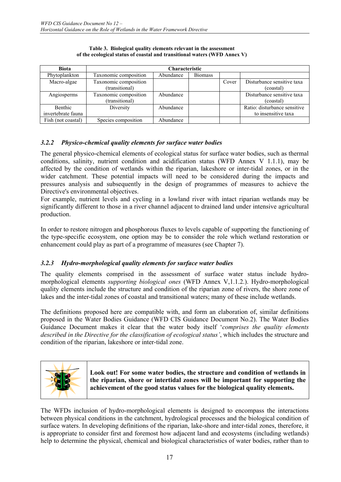| <b>Biota</b>       | <b>Characteristic</b> |           |                |       |                              |
|--------------------|-----------------------|-----------|----------------|-------|------------------------------|
| Phytoplankton      | Taxonomic composition | Abundance | <b>Biomass</b> |       |                              |
| Macro-algae        | Taxonomic composition |           |                | Cover | Disturbance sensitive taxa   |
|                    | (transitional)        |           |                |       | (coastal)                    |
| Angiosperms        | Taxonomic composition | Abundance |                |       | Disturbance sensitive taxa   |
|                    | (transitional)        |           |                |       | (coastal)                    |
| <b>Benthic</b>     | Diversity             | Abundance |                |       | Ratio: disturbance sensitive |
| invertebrate fauna |                       |           |                |       | to insensitive taxa          |
| Fish (not coastal) | Species composition   | Abundance |                |       |                              |

**Table 3. Biological quality elements relevant in the assessment of the ecological status of coastal and transitional waters (WFD Annex V)**

## *3.2.2 Physico-chemical quality elements for surface water bodies*

The general physico-chemical elements of ecological status for surface water bodies, such as thermal conditions, salinity, nutrient condition and acidification status (WFD Annex V 1.1.1), may be affected by the condition of wetlands within the riparian, lakeshore or inter-tidal zones, or in the wider catchment. These potential impacts will need to be considered during the impacts and pressures analysis and subsequently in the design of programmes of measures to achieve the Directive's environmental objectives.

For example, nutrient levels and cycling in a lowland river with intact riparian wetlands may be significantly different to those in a river channel adjacent to drained land under intensive agricultural production.

In order to restore nitrogen and phosphorous fluxes to levels capable of supporting the functioning of the type-specific ecosystem, one option may be to consider the role which wetland restoration or enhancement could play as part of a programme of measures (see Chapter 7).

## *3.2.3 Hydro-morphological quality elements for surface water bodies*

The quality elements comprised in the assessment of surface water status include hydromorphological elements *supporting biological ones* (WFD Annex V,1.1.2.). Hydro-morphological quality elements include the structure and condition of the riparian zone of rivers, the shore zone of lakes and the inter-tidal zones of coastal and transitional waters; many of these include wetlands.

The definitions proposed here are compatible with, and form an elaboration of, similar definitions proposed in the Water Bodies Guidance (WFD CIS Guidance Document No.2). The Water Bodies Guidance Document makes it clear that the water body itself '*comprises the quality elements described in the Directive for the classification of ecological status'*, which includes the structure and condition of the riparian, lakeshore or inter-tidal zone.



**Look out! For some water bodies, the structure and condition of wetlands in the riparian, shore or intertidal zones will be important for supporting the achievement of the good status values for the biological quality elements.** 

The WFDs inclusion of hydro-morphological elements is designed to encompass the interactions between physical conditions in the catchment, hydrological processes and the biological condition of surface waters. In developing definitions of the riparian, lake-shore and inter-tidal zones, therefore, it is appropriate to consider first and foremost how adjacent land and ecosystems (including wetlands) help to determine the physical, chemical and biological characteristics of water bodies, rather than to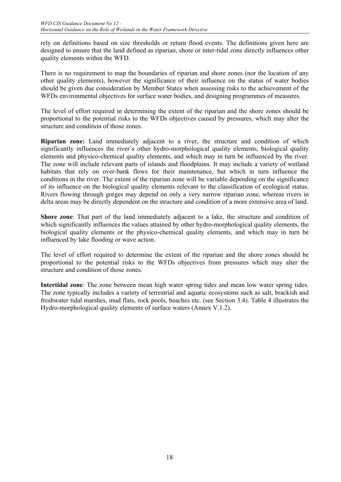rely on definitions based on size thresholds or return flood events. The definitions given here are designed to ensure that the land defined as riparian, shore or inter-tidal zone directly influences other quality elements within the WFD.

There is no requirement to map the boundaries of riparian and shore zones (nor the location of any other quality elements), however the significance of their influence on the status of water bodies should be given due consideration by Member States when assessing risks to the achievement of the WFDs environmental objectives for surface water bodies, and designing programmes of measures.

The level of effort required in determining the extent of the riparian and the shore zones should be proportional to the potential risks to the WFDs objectives caused by pressures, which may alter the structure and condition of those zones.

**Riparian zone:** Land immediately adjacent to a river, the structure and condition of which significantly influences the river's other hydro-morphological quality elements, biological quality elements and physico-chemical quality elements, and which may in turn be influenced by the river. The zone will include relevant parts of islands and floodplains. It may include a variety of wetland habitats that rely on over-bank flows for their maintenance, but which in turn influence the conditions in the river. The extent of the riparian zone will be variable depending on the significance of its influence on the biological quality elements relevant to the classification of ecological status. Rivers flowing through gorges may depend on only a very narrow riparian zone, whereas rivers in delta areas may be directly dependent on the structure and condition of a more extensive area of land.

**Shore zone**: That part of the land immediately adjacent to a lake, the structure and condition of which significantly influences the values attained by other hydro-morphological quality elements, the biological quality elements or the physico-chemical quality elements, and which may in turn be influenced by lake flooding or wave action.

The level of effort required to determine the extent of the riparian and the shore zones should be proportional to the potential risks to the WFDs objectives from pressures which may alter the structure and condition of those zones.

**Intertidal zone**: The zone between mean high water spring tides and mean low water spring tides. The zone typically includes a variety of terrestrial and aquatic ecosystems such as salt, brackish and freshwater tidal marshes, mud flats, rock pools, beaches etc. (see Section 3.4). Table 4 illustrates the Hydro-morphological quality elements of surface waters (Annex V.1.2).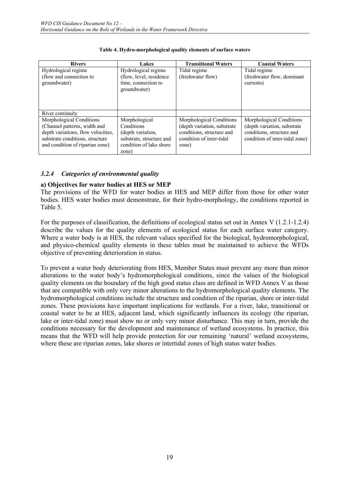| <b>Rivers</b>                           | Lakes                                                          | <b>Transitional Waters</b>  | <b>Coastal Waters</b>                   |
|-----------------------------------------|----------------------------------------------------------------|-----------------------------|-----------------------------------------|
| Hydrological regime                     | Hydrological regime                                            | Tidal regime                | Tidal regime                            |
| (flow and connection to<br>groundwater) | (flow, level, residence<br>time, connection to<br>groundwater) | (freshwater flow)           | (freshwater flow, dominant<br>currents) |
| River continuity                        |                                                                |                             |                                         |
| Morphological Conditions                | Morphological                                                  | Morphological Conditions    | Morphological Conditions                |
| (Channel patterns, width and            | Conditions                                                     | (depth variation, substrate | (depth variation, substrate             |
| depth variations, flow velocities,      | (depth variation,                                              | conditions, structure and   | conditions, structure and               |
| substrate conditions, structure         | substrate, structure and                                       | condition of inter-tidal    | condition of inter-tidal zone)          |
| and condition of riparian zone)         | condition of lake shore                                        | zone)                       |                                         |
|                                         | zone)                                                          |                             |                                         |

#### **Table 4. Hydro-morphological quality elements of surface waters**

## *3.2.4 Categories of environmental quality*

## **a) Objectives for water bodies at HES or MEP**

The provisions of the WFD for water bodies at HES and MEP differ from those for other water bodies. HES water bodies must demonstrate, for their hydro-morphology, the conditions reported in Table 5.

For the purposes of classification, the definitions of ecological status set out in Annex V (1.2.1-1.2.4) describe the values for the quality elements of ecological status for each surface water category. Where a water body is at HES, the relevant values specified for the biological, hydromorphological, and physico-chemical quality elements in these tables must be maintained to achieve the WFDs objective of preventing deterioration in status.

To prevent a water body deteriorating from HES, Member States must prevent any more than minor alterations to the water body's hydromorphological conditions, since the values of the biological quality elements on the boundary of the high good status class are defined in WFD Annex V as those that are compatible with only very minor alterations to the hydromorphological quality elements. The hydromorphological conditions include the structure and condition of the riparian, shore or inter-tidal zones. These provisions have important implications for wetlands. For a river, lake, transitional or coastal water to be at HES, adjacent land, which significantly influences its ecology (the riparian, lake or inter-tidal zone) must show no or only very minor disturbance. This may in turn, provide the conditions necessary for the development and maintenance of wetland ecosystems. In practice, this means that the WFD will help provide protection for our remaining 'natural' wetland ecosystems, where these are riparian zones, lake shores or intertidal zones of high status water bodies.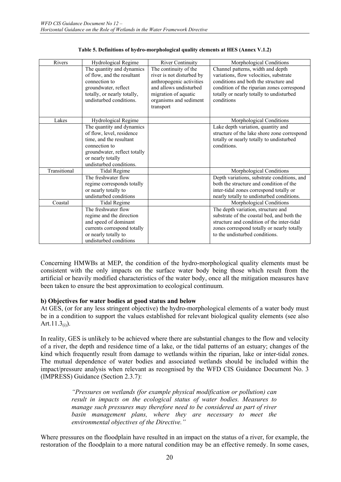| Rivers       | Hydrological Regime          | <b>River Continuity</b>   | Morphological Conditions                    |
|--------------|------------------------------|---------------------------|---------------------------------------------|
|              | The quantity and dynamics    | The continuity of the     | Channel patterns, width and depth           |
|              | of flow, and the resultant   | river is not disturbed by | variations, flow velocities, substrate      |
|              | connection to                | anthropogenic activities  | conditions and both the structure and       |
|              | groundwater, reflect         | and allows undisturbed    | condition of the riparian zones correspond  |
|              | totally, or nearly totally,  | migration of aquatic      | totally or nearly totally to undisturbed    |
|              | undisturbed conditions.      | organisms and sediment    | conditions                                  |
|              |                              | transport                 |                                             |
|              |                              |                           |                                             |
| Lakes        | Hydrological Regime          |                           | Morphological Conditions                    |
|              | The quantity and dynamics    |                           | Lake depth variation, quantity and          |
|              | of flow, level, residence    |                           | structure of the lake shore zone correspond |
|              | time, and the resultant      |                           | totally or nearly totally to undisturbed    |
|              | connection to                |                           | conditions.                                 |
|              | groundwater, reflect totally |                           |                                             |
|              | or nearly totally            |                           |                                             |
|              | undisturbed conditions.      |                           |                                             |
| Transitional | <b>Tidal Regime</b>          |                           | Morphological Conditions                    |
|              | The freshwater flow          |                           | Depth variations, substrate conditions, and |
|              | regime corresponds totally   |                           | both the structure and condition of the     |
|              | or nearly totally to         |                           | inter-tidal zones correspond totally or     |
|              | undisturbed conditions       |                           | nearly totally to undisturbed conditions.   |
| Coastal      | <b>Tidal Regime</b>          |                           | Morphological Conditions                    |
|              | The freshwater flow          |                           | The depth variation, structure and          |
|              | regime and the direction     |                           | substrate of the coastal bed, and both the  |
|              | and speed of dominant        |                           | structure and condition of the inter-tidal  |
|              | currents correspond totally  |                           | zones correspond totally or nearly totally  |
|              | or nearly totally to         |                           | to the undisturbed conditions.              |
|              | undisturbed conditions       |                           |                                             |

| Table 5. Definitions of hydro-morphological quality elements at HES (Annex V.1.2) |  |  |
|-----------------------------------------------------------------------------------|--|--|
|                                                                                   |  |  |

Concerning HMWBs at MEP, the condition of the hydro-morphological quality elements must be consistent with the only impacts on the surface water body being those which result from the artificial or heavily modified characteristics of the water body, once all the mitigation measures have been taken to ensure the best approximation to ecological continuum.

#### **b) Objectives for water bodies at good status and below**

At GES, (or for any less stringent objective) the hydro-morphological elements of a water body must be in a condition to support the values established for relevant biological quality elements (see also Art. $11.3_{(i)}$ ).

In reality, GES is unlikely to be achieved where there are substantial changes to the flow and velocity of a river, the depth and residence time of a lake, or the tidal patterns of an estuary; changes of the kind which frequently result from damage to wetlands within the riparian, lake or inter-tidal zones. The mutual dependence of water bodies and associated wetlands should be included within the impact/pressure analysis when relevant as recognised by the WFD CIS Guidance Document No. 3 (IMPRESS) Guidance (Section 2.3.7):

> *"Pressures on wetlands (for example physical modification or pollution) can result in impacts on the ecological status of water bodies. Measures to manage such pressures may therefore need to be considered as part of river basin management plans, where they are necessary to meet the environmental objectives of the Directive."*

Where pressures on the floodplain have resulted in an impact on the status of a river, for example, the restoration of the floodplain to a more natural condition may be an effective remedy. In some cases,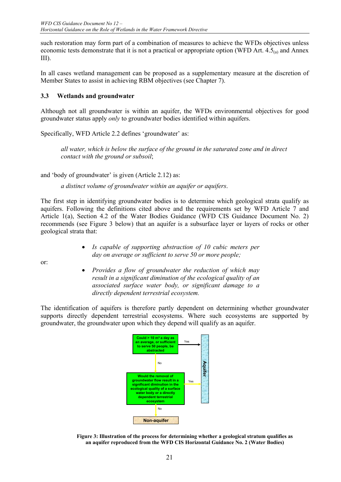such restoration may form part of a combination of measures to achieve the WFDs objectives unless economic tests demonstrate that it is not a practical or appropriate option (WFD Art.  $4.5<sub>(a)</sub>$  and Annex III).

In all cases wetland management can be proposed as a supplementary measure at the discretion of Member States to assist in achieving RBM objectives (see Chapter 7).

## **3.3 Wetlands and groundwater**

Although not all groundwater is within an aquifer, the WFDs environmental objectives for good groundwater status apply *only* to groundwater bodies identified within aquifers.

Specifically, WFD Article 2.2 defines 'groundwater' as:

*all water, which is below the surface of the ground in the saturated zone and in direct contact with the ground or subsoil*;

and 'body of groundwater' is given (Article 2.12) as:

*a distinct volume of groundwater within an aquifer or aquifers*.

The first step in identifying groundwater bodies is to determine which geological strata qualify as aquifers. Following the definitions cited above and the requirements set by WFD Article 7 and Article 1(a), Section 4.2 of the Water Bodies Guidance (WFD CIS Guidance Document No. 2) recommends (see Figure 3 below) that an aquifer is a subsurface layer or layers of rocks or other geological strata that:

> • *Is capable of supporting abstraction of 10 cubic meters per day on average or sufficient to serve 50 or more people;*

or:

• *Provides a flow of groundwater the reduction of which may result in a significant diminution of the ecological quality of an associated surface water body, or significant damage to a directly dependent terrestrial ecosystem.*

The identification of aquifers is therefore partly dependent on determining whether groundwater supports directly dependent terrestrial ecosystems. Where such ecosystems are supported by groundwater, the groundwater upon which they depend will qualify as an aquifer.



**Figure 3: Illustration of the process for determining whether a geological stratum qualifies as an aquifer reproduced from the WFD CIS Horizontal Guidance No. 2 (Water Bodies)**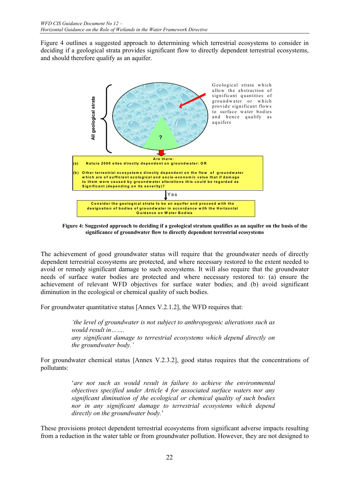Figure 4 outlines a suggested approach to determining which terrestrial ecosystems to consider in deciding if a geological strata provides significant flow to directly dependent terrestrial ecosystems, and should therefore qualify as an aquifer.



**Figure 4: Suggested approach to deciding if a geological stratum qualifies as an aquifer on the basis of the significance of groundwater flow to directly dependent terrestrial ecosystems**

The achievement of good groundwater status will require that the groundwater needs of directly dependent terrestrial ecosystems are protected, and where necessary restored to the extent needed to avoid or remedy significant damage to such ecosystems. It will also require that the groundwater needs of surface water bodies are protected and where necessary restored to: (a) ensure the achievement of relevant WFD objectives for surface water bodies; and (b) avoid significant diminution in the ecological or chemical quality of such bodies.

For groundwater quantitative status [Annex V.2.1.2], the WFD requires that:

*'the level of groundwater is not subject to anthropogenic alterations such as would result in……. any significant damage to terrestrial ecosystems which depend directly on the groundwater body.'* 

For groundwater chemical status [Annex V.2.3.2], good status requires that the concentrations of pollutants:

> '*are not such as would result in failure to achieve the environmental objectives specified under Article 4 for associated surface waters nor any significant diminution of the ecological or chemical quality of such bodies nor in any significant damage to terrestrial ecosystems which depend directly on the groundwater body.*'

These provisions protect dependent terrestrial ecosystems from significant adverse impacts resulting from a reduction in the water table or from groundwater pollution. However, they are not designed to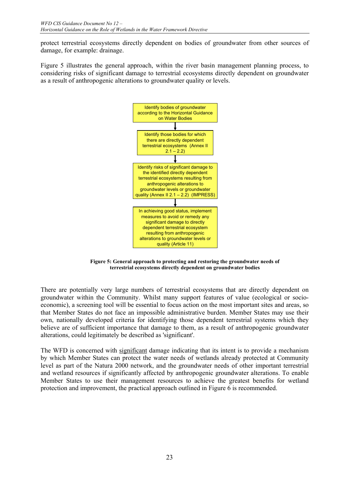protect terrestrial ecosystems directly dependent on bodies of groundwater from other sources of damage, for example: drainage.

Figure 5 illustrates the general approach, within the river basin management planning process, to considering risks of significant damage to terrestrial ecosystems directly dependent on groundwater as a result of anthropogenic alterations to groundwater quality or levels.



**Figure 5: General approach to protecting and restoring the groundwater needs of terrestrial ecosystems directly dependent on groundwater bodies** 

There are potentially very large numbers of terrestrial ecosystems that are directly dependent on groundwater within the Community. Whilst many support features of value (ecological or socioeconomic), a screening tool will be essential to focus action on the most important sites and areas, so that Member States do not face an impossible administrative burden. Member States may use their own, nationally developed criteria for identifying those dependent terrestrial systems which they believe are of sufficient importance that damage to them, as a result of anthropogenic groundwater alterations, could legitimately be described as 'significant'.

The WFD is concerned with significant damage indicating that its intent is to provide a mechanism by which Member States can protect the water needs of wetlands already protected at Community level as part of the Natura 2000 network, and the groundwater needs of other important terrestrial and wetland resources if significantly affected by anthropogenic groundwater alterations. To enable Member States to use their management resources to achieve the greatest benefits for wetland protection and improvement, the practical approach outlined in Figure 6 is recommended.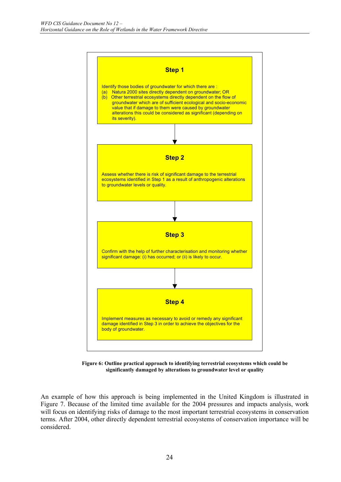

**Figure 6: Outline practical approach to identifying terrestrial ecosystems which could be significantly damaged by alterations to groundwater level or quality** 

An example of how this approach is being implemented in the United Kingdom is illustrated in Figure 7. Because of the limited time available for the 2004 pressures and impacts analysis, work will focus on identifying risks of damage to the most important terrestrial ecosystems in conservation terms. After 2004, other directly dependent terrestrial ecosystems of conservation importance will be considered.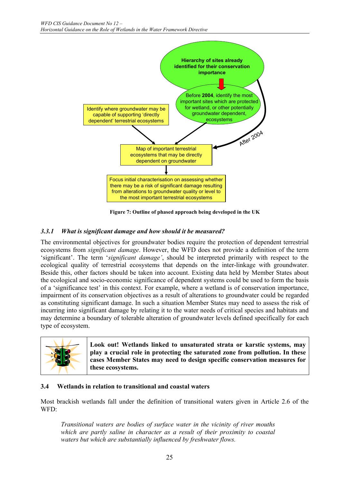

**Figure 7: Outline of phased approach being developed in the UK** 

## *3.3.1 What is significant damage and how should it be measured?*

The environmental objectives for groundwater bodies require the protection of dependent terrestrial ecosystems from *significant damage*. However, the WFD does not provide a definition of the term 'significant'. The term '*significant damage'*, should be interpreted primarily with respect to the ecological quality of terrestrial ecosystems that depends on the inter-linkage with groundwater. Beside this, other factors should be taken into account. Existing data held by Member States about the ecological and socio-economic significance of dependent systems could be used to form the basis of a 'significance test' in this context. For example, where a wetland is of conservation importance, impairment of its conservation objectives as a result of alterations to groundwater could be regarded as constituting significant damage. In such a situation Member States may need to assess the risk of incurring into significant damage by relating it to the water needs of critical species and habitats and may determine a boundary of tolerable alteration of groundwater levels defined specifically for each type of ecosystem.



## **3.4 Wetlands in relation to transitional and coastal waters**

Most brackish wetlands fall under the definition of transitional waters given in Article 2.6 of the WFD:

*Transitional waters are bodies of surface water in the vicinity of river mouths which are partly saline in character as a result of their proximity to coastal waters but which are substantially influenced by freshwater flows.*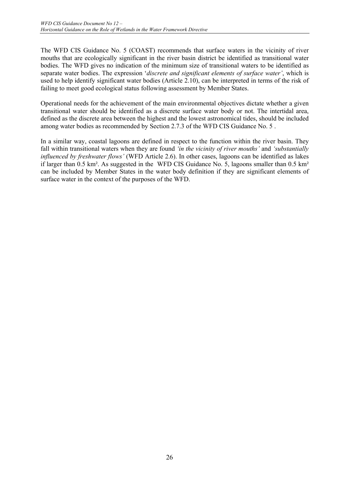The WFD CIS Guidance No. 5 (COAST) recommends that surface waters in the vicinity of river mouths that are ecologically significant in the river basin district be identified as transitional water bodies. The WFD gives no indication of the minimum size of transitional waters to be identified as separate water bodies. The expression '*discrete and significant elements of surface water'*, which is used to help identify significant water bodies (Article 2.10), can be interpreted in terms of the risk of failing to meet good ecological status following assessment by Member States.

Operational needs for the achievement of the main environmental objectives dictate whether a given transitional water should be identified as a discrete surface water body or not. The intertidal area, defined as the discrete area between the highest and the lowest astronomical tides, should be included among water bodies as recommended by Section 2.7.3 of the WFD CIS Guidance No. 5 .

In a similar way, coastal lagoons are defined in respect to the function within the river basin. They fall within transitional waters when they are found *'in the vicinity of river mouths'* and *'substantially influenced by freshwater flows'* (WFD Article 2.6). In other cases, lagoons can be identified as lakes if larger than 0.5 km². As suggested in the WFD CIS Guidance No. 5, lagoons smaller than 0.5 km² can be included by Member States in the water body definition if they are significant elements of surface water in the context of the purposes of the WFD.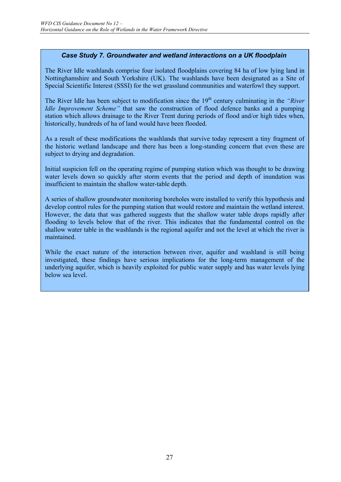## *Case Study 7. Groundwater and wetland interactions on a UK floodplain*

The River Idle washlands comprise four isolated floodplains covering 84 ha of low lying land in Nottinghamshire and South Yorkshire (UK). The washlands have been designated as a Site of Special Scientific Interest (SSSI) for the wet grassland communities and waterfowl they support.

The River Idle has been subject to modification since the 19<sup>th</sup> century culminating in the *"River*" *Idle Improvement Scheme*" that saw the construction of flood defence banks and a pumping station which allows drainage to the River Trent during periods of flood and/or high tides when, historically, hundreds of ha of land would have been flooded.

As a result of these modifications the washlands that survive today represent a tiny fragment of the historic wetland landscape and there has been a long-standing concern that even these are subject to drying and degradation.

Initial suspicion fell on the operating regime of pumping station which was thought to be drawing water levels down so quickly after storm events that the period and depth of inundation was insufficient to maintain the shallow water-table depth.

A series of shallow groundwater monitoring boreholes were installed to verify this hypothesis and develop control rules for the pumping station that would restore and maintain the wetland interest. However, the data that was gathered suggests that the shallow water table drops rapidly after flooding to levels below that of the river. This indicates that the fundamental control on the shallow water table in the washlands is the regional aquifer and not the level at which the river is maintained.

While the exact nature of the interaction between river, aquifer and washland is still being investigated, these findings have serious implications for the long-term management of the underlying aquifer, which is heavily exploited for public water supply and has water levels lying below sea level.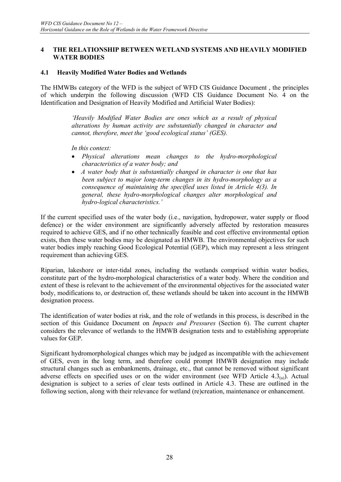#### **4 THE RELATIONSHIP BETWEEN WETLAND SYSTEMS AND HEAVILY MODIFIED WATER BODIES**

#### **4.1 Heavily Modified Water Bodies and Wetlands**

The HMWBs category of the WFD is the subject of WFD CIS Guidance Document , the principles of which underpin the following discussion (WFD CIS Guidance Document No. 4 on the Identification and Designation of Heavily Modified and Artificial Water Bodies):

> *'Heavily Modified Water Bodies are ones which as a result of physical alterations by human activity are substantially changed in character and cannot, therefore, meet the 'good ecological status' (GES).*

*In this context:* 

- *Physical alterations mean changes to the hydro-morphological characteristics of a water body; and*
- *A water body that is substantially changed in character is one that has been subject to major long-term changes in its hydro-morphology as a consequence of maintaining the specified uses listed in Article 4(3). In general, these hydro-morphological changes alter morphological and hydro-logical characteristics.'*

If the current specified uses of the water body (i.e., navigation, hydropower, water supply or flood defence) or the wider environment are significantly adversely affected by restoration measures required to achieve GES, and if no other technically feasible and cost effective environmental option exists, then these water bodies may be designated as HMWB. The environmental objectives for such water bodies imply reaching Good Ecological Potential (GEP), which may represent a less stringent requirement than achieving GES.

Riparian, lakeshore or inter-tidal zones, including the wetlands comprised within water bodies, constitute part of the hydro-morphological characteristics of a water body. Where the condition and extent of these is relevant to the achievement of the environmental objectives for the associated water body, modifications to, or destruction of, these wetlands should be taken into account in the HMWB designation process.

The identification of water bodies at risk, and the role of wetlands in this process, is described in the section of this Guidance Document on *Impacts and Pressures* (Section 6). The current chapter considers the relevance of wetlands to the HMWB designation tests and to establishing appropriate values for GEP.

Significant hydromorphological changes which may be judged as incompatible with the achievement of GES, even in the long term, and therefore could prompt HMWB designation may include structural changes such as embankments, drainage, etc., that cannot be removed without significant adverse effects on specified uses or on the wider environment (see WFD Article 4.3 $_{(a)}$ ). Actual designation is subject to a series of clear tests outlined in Article 4.3. These are outlined in the following section, along with their relevance for wetland (re)creation, maintenance or enhancement.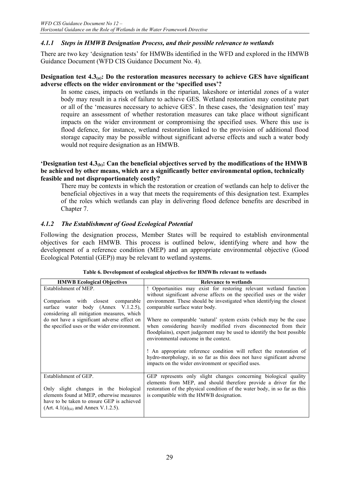## *4.1.1 Steps in HMWB Designation Process, and their possible relevance to wetlands*

There are two key 'designation tests' for HMWBs identified in the WFD and explored in the HMWB Guidance Document (WFD CIS Guidance Document No. 4).

#### **Designation test 4.3(a): Do the restoration measures necessary to achieve GES have significant adverse effects on the wider environment or the 'specified uses'?**

In some cases, impacts on wetlands in the riparian, lakeshore or intertidal zones of a water body may result in a risk of failure to achieve GES. Wetland restoration may constitute part or all of the 'measures necessary to achieve GES'. In these cases, the 'designation test' may require an assessment of whether restoration measures can take place without significant impacts on the wider environment or compromising the specified uses. Where this use is flood defence, for instance, wetland restoration linked to the provision of additional flood storage capacity may be possible without significant adverse effects and such a water body would not require designation as an HMWB.

#### **'Designation test 4.3(b): Can the beneficial objectives served by the modifications of the HMWB be achieved by other means, which are a significantly better environmental option, technically feasible and not disproportionately costly?**

There may be contexts in which the restoration or creation of wetlands can help to deliver the beneficial objectives in a way that meets the requirements of this designation test. Examples of the roles which wetlands can play in delivering flood defence benefits are described in Chapter 7.

## *4.1.2 The Establishment of Good Ecological Potential*

Following the designation process, Member States will be required to establish environmental objectives for each HMWB. This process is outlined below, identifying where and how the development of a reference condition (MEP) and an appropriate environmental objective (Good Ecological Potential (GEP)) may be relevant to wetland systems.

| <b>HMWB</b> Ecological Objectives                                                                                                  | <b>Relevance to wetlands</b>                                                                                                                                                                                                                                |
|------------------------------------------------------------------------------------------------------------------------------------|-------------------------------------------------------------------------------------------------------------------------------------------------------------------------------------------------------------------------------------------------------------|
| Establishment of MEP.                                                                                                              | ! Opportunities may exist for restoring relevant wetland function<br>without significant adverse affects on the specified uses or the wider                                                                                                                 |
| Comparison with closest comparable<br>surface water body (Annex V.1.2.5),<br>considering all mitigation measures, which            | environment. These should be investigated when identifying the closest<br>comparable surface water body.                                                                                                                                                    |
| do not have a significant adverse effect on<br>the specified uses or the wider environment.                                        | Where no comparable 'natural' system exists (which may be the case<br>when considering heavily modified rivers disconnected from their<br>floodplains), expert judgement may be used to identify the best possible<br>environmental outcome in the context. |
|                                                                                                                                    | ! An appropriate reference condition will reflect the restoration of<br>hydro-morphology, in so far as this does not have significant adverse<br>impacts on the wider environment or specified uses.                                                        |
| Establishment of GEP.<br>Only slight changes in the biological                                                                     | GEP represents only slight changes concerning biological quality<br>elements from MEP, and should therefore provide a driver for the<br>restoration of the physical condition of the water body, in so far as this                                          |
| elements found at MEP, otherwise measures<br>have to be taken to ensure GEP is achieved<br>$(Art. 4.1(a)(iii) and Annex V.1.2.5).$ | is compatible with the HMWB designation.                                                                                                                                                                                                                    |

#### **Table 6. Development of ecological objectives for HMWBs relevant to wetlands**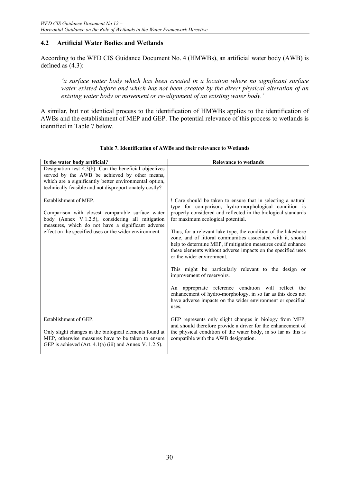## **4.2 Artificial Water Bodies and Wetlands**

According to the WFD CIS Guidance Document No. 4 (HMWBs), an artificial water body (AWB) is defined as (4.3):

*'a surface water body which has been created in a location where no significant surface water existed before and which has not been created by the direct physical alteration of an existing water body or movement or re-alignment of an existing water body.'* 

A similar, but not identical process to the identification of HMWBs applies to the identification of AWBs and the establishment of MEP and GEP. The potential relevance of this process to wetlands is identified in Table 7 below.

| Is the water body artificial?                                                                                                                                                                                                                | <b>Relevance to wetlands</b>                                                                                                                                                                                                                                                                                                                                                                                                                                                                                                                                                                                                                                                                                                                                                                                 |
|----------------------------------------------------------------------------------------------------------------------------------------------------------------------------------------------------------------------------------------------|--------------------------------------------------------------------------------------------------------------------------------------------------------------------------------------------------------------------------------------------------------------------------------------------------------------------------------------------------------------------------------------------------------------------------------------------------------------------------------------------------------------------------------------------------------------------------------------------------------------------------------------------------------------------------------------------------------------------------------------------------------------------------------------------------------------|
| Designation test $4.3(b)$ : Can the beneficial objectives<br>served by the AWB be achieved by other means,<br>which are a significantly better environmental option,<br>technically feasible and not disproportionately costly?              |                                                                                                                                                                                                                                                                                                                                                                                                                                                                                                                                                                                                                                                                                                                                                                                                              |
| Establishment of MEP.<br>Comparison with closest comparable surface water<br>body (Annex V.1.2.5), considering all mitigation<br>measures, which do not have a significant adverse<br>effect on the specified uses or the wider environment. | ! Care should be taken to ensure that in selecting a natural<br>type for comparison, hydro-morphological condition is<br>properly considered and reflected in the biological standards<br>for maximum ecological potential.<br>Thus, for a relevant lake type, the condition of the lakeshore<br>zone, and of littoral communities associated with it, should<br>help to determine MEP, if mitigation measures could enhance<br>these elements without adverse impacts on the specified uses<br>or the wider environment.<br>This might be particularly relevant to the design or<br>improvement of reservoirs.<br>An appropriate reference condition will reflect the<br>enhancement of hydro-morphology, in so far as this does not<br>have adverse impacts on the wider environment or specified<br>uses. |
| Establishment of GEP.<br>Only slight changes in the biological elements found at<br>MEP, otherwise measures have to be taken to ensure<br>GEP is achieved (Art. 4.1(a) (iii) and Annex V. 1.2.5).                                            | GEP represents only slight changes in biology from MEP,<br>and should therefore provide a driver for the enhancement of<br>the physical condition of the water body, in so far as this is<br>compatible with the AWB designation.                                                                                                                                                                                                                                                                                                                                                                                                                                                                                                                                                                            |

#### **Table 7. Identification of AWBs and their relevance to Wetlands**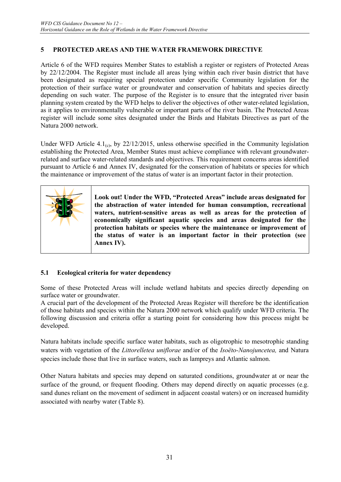## **5 PROTECTED AREAS AND THE WATER FRAMEWORK DIRECTIVE**

Article 6 of the WFD requires Member States to establish a register or registers of Protected Areas by 22/12/2004. The Register must include all areas lying within each river basin district that have been designated as requiring special protection under specific Community legislation for the protection of their surface water or groundwater and conservation of habitats and species directly depending on such water. The purpose of the Register is to ensure that the integrated river basin planning system created by the WFD helps to deliver the objectives of other water-related legislation, as it applies to environmentally vulnerable or important parts of the river basin. The Protected Areas register will include some sites designated under the Birds and Habitats Directives as part of the Natura 2000 network.

Under WFD Article  $4.1_{(c)}$ , by 22/12/2015, unless otherwise specified in the Community legislation establishing the Protected Area, Member States must achieve compliance with relevant groundwaterrelated and surface water-related standards and objectives. This requirement concerns areas identified pursuant to Article 6 and Annex IV, designated for the conservation of habitats or species for which the maintenance or improvement of the status of water is an important factor in their protection.



**Look out! Under the WFD, "Protected Areas" include areas designated for the abstraction of water intended for human consumption, recreational waters, nutrient-sensitive areas as well as areas for the protection of economically significant aquatic species and areas designated for the protection habitats or species where the maintenance or improvement of the status of water is an important factor in their protection (see Annex IV).** 

## **5.1 Ecological criteria for water dependency**

Some of these Protected Areas will include wetland habitats and species directly depending on surface water or groundwater.

A crucial part of the development of the Protected Areas Register will therefore be the identification of those habitats and species within the Natura 2000 network which qualify under WFD criteria. The following discussion and criteria offer a starting point for considering how this process might be developed.

Natura habitats include specific surface water habitats, such as oligotrophic to mesotrophic standing waters with vegetation of the *Littorelletea uniflorae* and/or of the *Isoëto-Nanojuncetea,* and Natura species include those that live in surface waters, such as lampreys and Atlantic salmon.

Other Natura habitats and species may depend on saturated conditions, groundwater at or near the surface of the ground, or frequent flooding. Others may depend directly on aquatic processes (e.g. sand dunes reliant on the movement of sediment in adjacent coastal waters) or on increased humidity associated with nearby water (Table 8).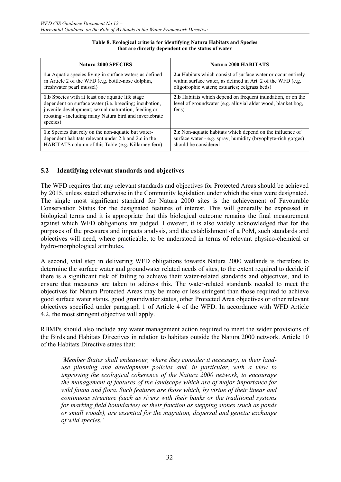| <b>Natura 2000 SPECIES</b>                                                                                                                                                                                                                     | <b>Natura 2000 HABITATS</b>                                                                                                          |
|------------------------------------------------------------------------------------------------------------------------------------------------------------------------------------------------------------------------------------------------|--------------------------------------------------------------------------------------------------------------------------------------|
| <b>1.a</b> Aquatic species living in surface waters as defined                                                                                                                                                                                 | 2.a Habitats which consist of surface water or occur entirely                                                                        |
| in Article 2 of the WFD (e.g. bottle-nose dolphin,                                                                                                                                                                                             | within surface water, as defined in Art. 2 of the WFD (e.g.                                                                          |
| freshwater pearl mussel)                                                                                                                                                                                                                       | oligotrophic waters; estuaries; eelgrass beds)                                                                                       |
| <b>1.b</b> Species with at least one aquatic life stage<br>dependent on surface water (i.e. breeding; incubation,<br>juvenile development; sexual maturation, feeding or<br>roosting - including many Natura bird and invertebrate<br>species) | 2.b Habitats which depend on frequent inundation, or on the<br>level of groundwater (e.g. alluvial alder wood, blanket bog,<br>fens) |
| <b>1.c</b> Species that rely on the non-aquatic but water-                                                                                                                                                                                     | 2.c Non-aquatic habitats which depend on the influence of                                                                            |
| dependent habitats relevant under 2.b and 2.c in the                                                                                                                                                                                           | surface water - e.g. spray, humidity (bryophyte-rich gorges)                                                                         |
| HABITATS column of this Table (e.g. Killarney fern)                                                                                                                                                                                            | should be considered                                                                                                                 |

#### **Table 8. Ecological criteria for identifying Natura Habitats and Species that are directly dependent on the status of water**

#### **5.2 Identifying relevant standards and objectives**

The WFD requires that any relevant standards and objectives for Protected Areas should be achieved by 2015, unless stated otherwise in the Community legislation under which the sites were designated. The single most significant standard for Natura 2000 sites is the achievement of Favourable Conservation Status for the designated features of interest. This will generally be expressed in biological terms and it is appropriate that this biological outcome remains the final measurement against which WFD obligations are judged. However, it is also widely acknowledged that for the purposes of the pressures and impacts analysis, and the establishment of a PoM, such standards and objectives will need, where practicable, to be understood in terms of relevant physico-chemical or hydro-morphological attributes.

A second, vital step in delivering WFD obligations towards Natura 2000 wetlands is therefore to determine the surface water and groundwater related needs of sites, to the extent required to decide if there is a significant risk of failing to achieve their water-related standards and objectives, and to ensure that measures are taken to address this. The water-related standards needed to meet the objectives for Natura Protected Areas may be more or less stringent than those required to achieve good surface water status, good groundwater status, other Protected Area objectives or other relevant objectives specified under paragraph 1 of Article 4 of the WFD. In accordance with WFD Article 4.2, the most stringent objective will apply.

RBMPs should also include any water management action required to meet the wider provisions of the Birds and Habitats Directives in relation to habitats outside the Natura 2000 network. Article 10 of the Habitats Directive states that:

*'Member States shall endeavour, where they consider it necessary, in their landuse planning and development policies and, in particular, with a view to improving the ecological coherence of the Natura 2000 network, to encourage the management of features of the landscape which are of major importance for wild fauna and flora. Such features are those which, by virtue of their linear and continuous structure (such as rivers with their banks or the traditional systems for marking field boundaries) or their function as stepping stones (such as ponds or small woods), are essential for the migration, dispersal and genetic exchange of wild species.'*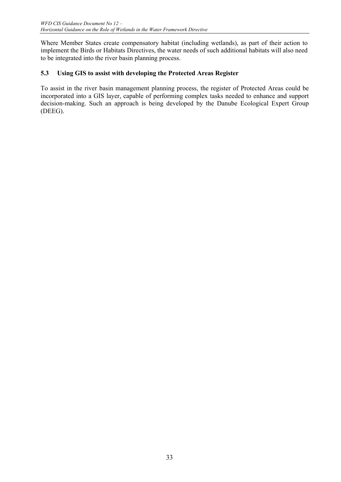Where Member States create compensatory habitat (including wetlands), as part of their action to implement the Birds or Habitats Directives, the water needs of such additional habitats will also need to be integrated into the river basin planning process.

## **5.3 Using GIS to assist with developing the Protected Areas Register**

To assist in the river basin management planning process, the register of Protected Areas could be incorporated into a GIS layer, capable of performing complex tasks needed to enhance and support decision-making. Such an approach is being developed by the Danube Ecological Expert Group (DEEG).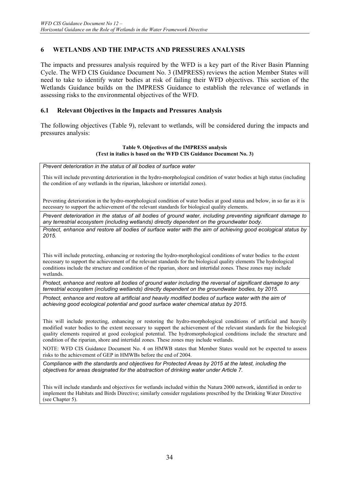## **6 WETLANDS AND THE IMPACTS AND PRESSURES ANALYSIS**

The impacts and pressures analysis required by the WFD is a key part of the River Basin Planning Cycle. The WFD CIS Guidance Document No. 3 (IMPRESS) reviews the action Member States will need to take to identify water bodies at risk of failing their WFD objectives. This section of the Wetlands Guidance builds on the IMPRESS Guidance to establish the relevance of wetlands in assessing risks to the environmental objectives of the WFD.

#### **6.1 Relevant Objectives in the Impacts and Pressures Analysis**

The following objectives (Table 9), relevant to wetlands, will be considered during the impacts and pressures analysis:

#### **Table 9. Objectives of the IMPRESS analysis (Text in italics is based on the WFD CIS Guidance Document No. 3)**

*Prevent deterioration in the status of all bodies of surface water*

This will include preventing deterioration in the hydro-morphological condition of water bodies at high status (including the condition of any wetlands in the riparian, lakeshore or intertidal zones).

Preventing deterioration in the hydro-morphological condition of water bodies at good status and below, in so far as it is necessary to support the achievement of the relevant standards for biological quality elements.

*Prevent deterioration in the status of all bodies of ground water, including preventing significant damage to any terrestrial ecosystem (including wetlands) directly dependent on the groundwater body.* 

*Protect, enhance and restore all bodies of surface water with the aim of achieving good ecological status by 2015.* 

This will include protecting, enhancing or restoring the hydro-morphological conditions of water bodies to the extent necessary to support the achievement of the relevant standards for the biological quality elements The hydrological conditions include the structure and condition of the riparian, shore and intertidal zones. These zones may include wetlands.

*Protect, enhance and restore all bodies of ground water including the reversal of significant damage to any terrestrial ecosystem (including wetlands) directly dependent on the groundwater bodies, by 2015.* 

Protect, enhance and restore all artificial and heavily modified bodies of surface water with the aim of *achieving good ecological potential and good surface water chemical status by 2015.* 

This will include protecting, enhancing or restoring the hydro-morphological conditions of artificial and heavily modified water bodies to the extent necessary to support the achievement of the relevant standards for the biological quality elements required at good ecological potential. The hydromorphological conditions include the structure and condition of the riparian, shore and intertidal zones. These zones may include wetlands.

NOTE: WFD CIS Guidance Document No. 4 on HMWB states that Member States would not be expected to assess risks to the achievement of GEP in HMWBs before the end of 2004.

*Compliance with the standards and objectives for Protected Areas by 2015 at the latest, including the objectives for areas designated for the abstraction of drinking water under Article 7.* 

This will include standards and objectives for wetlands included within the Natura 2000 network, identified in order to implement the Habitats and Birds Directive; similarly consider regulations prescribed by the Drinking Water Directive (see Chapter 5).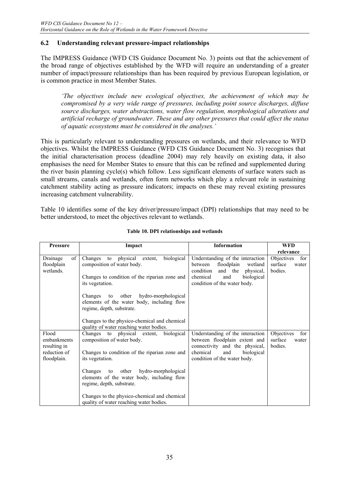## **6.2 Understanding relevant pressure-impact relationships**

The IMPRESS Guidance (WFD CIS Guidance Document No. 3) points out that the achievement of the broad range of objectives established by the WFD will require an understanding of a greater number of impact/pressure relationships than has been required by previous European legislation, or is common practice in most Member States.

*'The objectives include new ecological objectives, the achievement of which may be compromised by a very wide range of pressures, including point source discharges, diffuse source discharges, water abstractions, water flow regulation, morphological alterations and artificial recharge of groundwater. These and any other pressures that could affect the status of aquatic ecosystems must be considered in the analyses.'* 

This is particularly relevant to understanding pressures on wetlands, and their relevance to WFD objectives. Whilst the IMPRESS Guidance (WFD CIS Guidance Document No. 3) recognises that the initial characterisation process (deadline 2004) may rely heavily on existing data, it also emphasises the need for Member States to ensure that this can be refined and supplemented during the river basin planning cycle(s) which follow. Less significant elements of surface waters such as small streams, canals and wetlands, often form networks which play a relevant role in sustaining catchment stability acting as pressure indicators; impacts on these may reveal existing pressures increasing catchment vulnerability.

Table 10 identifies some of the key driver/pressure/impact (DPI) relationships that may need to be better understood, to meet the objectives relevant to wetlands.

| <b>Pressure</b>                           | Impact                                                                                                                            | <b>Information</b>                                                                                                                         | <b>WFD</b>                                       |
|-------------------------------------------|-----------------------------------------------------------------------------------------------------------------------------------|--------------------------------------------------------------------------------------------------------------------------------------------|--------------------------------------------------|
|                                           |                                                                                                                                   |                                                                                                                                            | relevance                                        |
| of<br>Drainage<br>floodplain<br>wetlands. | biological<br>physical<br>Changes<br>extent,<br>to<br>composition of water body.<br>Changes to condition of the riparian zone and | Understanding of the interaction<br>floodplain<br>between<br>wetland<br>condition<br>and the<br>physical,<br>chemical<br>and<br>biological | Objectives<br>for<br>surface<br>water<br>bodies. |
|                                           | its vegetation.                                                                                                                   | condition of the water body.                                                                                                               |                                                  |
|                                           | to other<br>hydro-morphological<br>Changes<br>elements of the water body, including flow<br>regime, depth, substrate.             |                                                                                                                                            |                                                  |
|                                           | Changes to the physico-chemical and chemical<br>quality of water reaching water bodies.                                           |                                                                                                                                            |                                                  |
| Flood<br>embankments<br>resulting in      | Changes to physical extent,<br>biological<br>composition of water body.                                                           | Understanding of the interaction<br>between floodplain extent and<br>connectivity and the physical,                                        | Objectives<br>for<br>surface<br>water<br>bodies. |
| reduction of<br>floodplain.               | Changes to condition of the riparian zone and<br>its vegetation.                                                                  | chemical<br>and<br>biological<br>condition of the water body.                                                                              |                                                  |
|                                           | to other<br>hydro-morphological<br>Changes<br>elements of the water body, including flow<br>regime, depth, substrate.             |                                                                                                                                            |                                                  |
|                                           | Changes to the physico-chemical and chemical<br>quality of water reaching water bodies.                                           |                                                                                                                                            |                                                  |

#### **Table 10. DPI relationships and wetlands**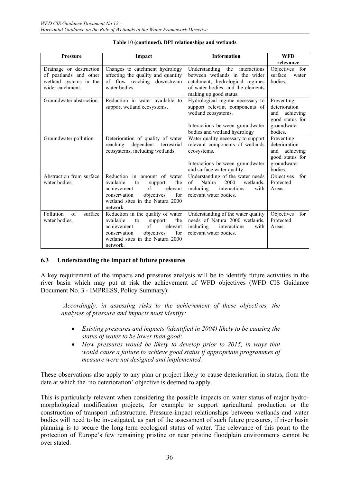| <b>Pressure</b>                                                                                 | Impact                                                                                                                                                                                               | <b>Information</b>                                                                                                                                                | <b>WFD</b><br>relevance                                                                      |
|-------------------------------------------------------------------------------------------------|------------------------------------------------------------------------------------------------------------------------------------------------------------------------------------------------------|-------------------------------------------------------------------------------------------------------------------------------------------------------------------|----------------------------------------------------------------------------------------------|
| Drainage or destruction<br>of peatlands and other<br>wetland systems in the<br>wider catchment. | Changes to catchment hydrology<br>affecting the quality and quantity<br>of flow reaching downstream<br>water bodies.                                                                                 | Understanding the interactions<br>between wetlands in the wider<br>catchment, hydrological regimes<br>of water bodies, and the elements<br>making up good status. | Objectives for<br>surface<br>water<br>bodies.                                                |
| Groundwater abstraction.                                                                        | Reduction in water available to<br>support wetland ecosystems.                                                                                                                                       | Hydrological regime necessary to<br>support relevant components of<br>wetland ecosystems.<br>Interactions between groundwater<br>bodies and wetland hydrology     | Preventing<br>deterioration<br>and achieving<br>good status for<br>groundwater<br>bodies.    |
| Groundwater pollution.                                                                          | Deterioration of quality of water<br>dependent terrestrial<br>reaching<br>ecosystems, including wetlands.                                                                                            | Water quality necessary to support<br>relevant components of wetlands<br>ecosystems.<br>Interactions between groundwater<br>and surface water quality.            | Preventing<br>deterioration<br>achieving<br>and<br>good status for<br>groundwater<br>bodies. |
| Abstraction from surface<br>water bodies.                                                       | Reduction in amount of water<br>available<br>the<br>to<br>support<br>of<br>achievement<br>relevant<br>for<br>objectives<br>conservation<br>wetland sites in the Natura 2000<br>network.              | Understanding of the water needs<br>2000<br>of<br>Natura<br>wetlands.<br>including<br>interactions<br>with<br>relevant water bodies.                              | Objectives<br>for<br>Protected<br>Areas.                                                     |
| Pollution<br>of<br>surface<br>water bodies.                                                     | Reduction in the quality of water<br>the<br>available<br>support<br>to<br>$\sigma$ f<br>achievement<br>relevant<br>objectives<br>for<br>conservation<br>wetland sites in the Natura 2000<br>network. | Understanding of the water quality<br>needs of Natura 2000 wetlands,<br>including<br>interactions<br>with<br>relevant water bodies.                               | Objectives<br>for<br>Protected<br>Areas.                                                     |

#### **Table 10 (continued). DPI relationships and wetlands**

#### **6.3 Understanding the impact of future pressures**

A key requirement of the impacts and pressures analysis will be to identify future activities in the river basin which may put at risk the achievement of WFD objectives (WFD CIS Guidance Document No. 3 - IMPRESS, Policy Summary):

*'Accordingly, in assessing risks to the achievement of these objectives, the analyses of pressure and impacts must identify:* 

- *Existing pressures and impacts (identified in 2004) likely to be causing the status of water to be lower than good;*
- *How pressures would be likely to develop prior to 2015, in ways that would cause a failure to achieve good status if appropriate programmes of measure were not designed and implemented.*

These observations also apply to any plan or project likely to cause deterioration in status, from the date at which the 'no deterioration' objective is deemed to apply.

This is particularly relevant when considering the possible impacts on water status of major hydromorphological modification projects, for example to support agricultural production or the construction of transport infrastructure. Pressure-impact relationships between wetlands and water bodies will need to be investigated, as part of the assessment of such future pressures, if river basin planning is to secure the long-term ecological status of water. The relevance of this point to the protection of Europe's few remaining pristine or near pristine floodplain environments cannot be over stated.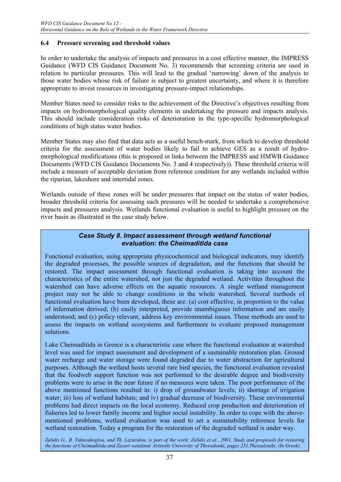## **6.4 Pressure screening and threshold values**

In order to undertake the analysis of impacts and pressures in a cost effective manner, the IMPRESS Guidance (WFD CIS Guidance Document No. 3) recommends that screening criteria are used in relation to particular pressures. This will lead to the gradual 'narrowing' down of the analysis to those water bodies whose risk of failure is subject to greatest uncertainty, and where it is therefore appropriate to invest resources in investigating pressure-impact relationships.

Member States need to consider risks to the achievement of the Directive's objectives resulting from impacts on hydromorphological quality elements in undertaking the pressure and impacts analysis. This should include consideration risks of deterioration in the type-specific hydromorphological conditions of high status water bodies.

Member States may also find that data acts as a useful bench-mark, from which to develop threshold criteria for the assessment of water bodies likely to fail to achieve GES as a result of hydromorphological modifications (this is proposed in links between the IMPRESS and HMWB Guidance Documents (WFD CIS Guidance Documents No. 3 and 4 respectively)). These threshold criteria will include a measure of acceptable deviation from reference condition for any wetlands included within the riparian, lakeshore and intertidal zones.

Wetlands outside of these zones will be under pressures that impact on the status of water bodies, broader threshold criteria for assessing such pressures will be needed to undertake a comprehensive impacts and pressures analysis. Wetlands functional evaluation is useful to highlight pressure on the river basin as illustrated in the case study below.

#### *Case Study 8. Impact assessment through wetland functional evaluation: the Cheimaditida case*

Functional evaluation, using appropriate physicochemical and biological indicators, may identify the degraded processes, the possible sources of degradation, and the functions that should be restored. The impact assessment through functional evaluation is taking into account the characteristics of the entire watershed, not just the degraded wetland. Activities throughout the watershed can have adverse effects on the aquatic resources. A single wetland management project may not be able to change conditions in the whole watershed. Several methods of functional evaluation have been developed, these are: (a) cost effective, in proportion to the value of information derived; (b) easily interpreted, provide unambiguous information and are easily understood; and (c) policy relevant, address key environmental issues. These methods are used to assess the impacts on wetland ecosystems and furthermore to evaluate proposed management solutions.

Lake Cheimaditida in Greece is a characteristic case where the functional evaluation at watershed level was used for impact assessment and development of a sustainable restoration plan. Ground water recharge and water storage were found degraded due to water abstraction for agricultural purposes. Although the wetland hosts several rare bird species, the functional evaluation revealed that the foodweb support function was not performed to the desirable degree and biodiversity problems were to arise in the near future if no measures were taken. The poor performance of the above mentioned functions resulted in: i) drop of groundwater levels; ii) shortage of irrigation water; iii) loss of wetland habitats; and iv) gradual decrease of biodiversity. These environmental problems had direct impacts on the local economy. Reduced crop production and deterioration of fisheries led to lower family income and higher social instability. In order to cope with the abovementioned problems, wetland evaluation was used to set a sustainability reference levels for wetland restoration. Today a program for the restoration of the degraded wetland is under way.

*Zalidis G., B. Takavakoglou, and Th. Lazaridou, is part of the work: Zalidis et al., 2001. Study and proposals for restoring the functions of Cheimaditida and Zazari wetaland. Aristotle University of Thessalonki, pages 231,Thessaloniki. (In Greek).*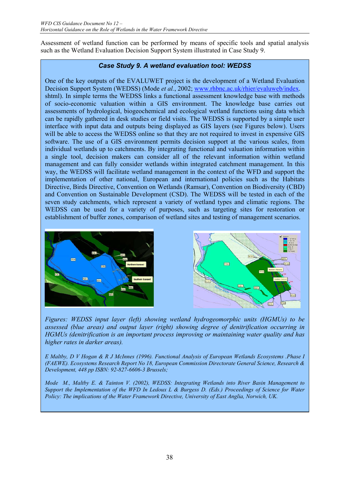Assessment of wetland function can be performed by means of specific tools and spatial analysis such as the Wetland Evaluation Decision Support System illustrated in Case Study 9.

## *Case Study 9. A wetland evaluation tool: WEDSS*

One of the key outputs of the EVALUWET project is the development of a Wetland Evaluation Decision Support System (WEDSS) (Mode *et al.*, 2002; www.rhbnc.ac.uk/rhier/evaluweb/index. shtml). In simple terms the WEDSS links a functional assessment knowledge base with methods of socio-economic valuation within a GIS environment. The knowledge base carries out assessments of hydrological, biogeochemical and ecological wetland functions using data which can be rapidly gathered in desk studies or field visits. The WEDSS is supported by a simple user interface with input data and outputs being displayed as GIS layers (see Figures below). Users will be able to access the WEDSS online so that they are not required to invest in expensive GIS software. The use of a GIS environment permits decision support at the various scales, from individual wetlands up to catchments. By integrating functional and valuation information within a single tool, decision makers can consider all of the relevant information within wetland management and can fully consider wetlands within integrated catchment management. In this way, the WEDSS will facilitate wetland management in the context of the WFD and support the implementation of other national, European and international policies such as the Habitats Directive, Birds Directive, Convention on Wetlands (Ramsar), Convention on Biodiversity (CBD) and Convention on Sustainable Development (CSD). The WEDSS will be tested in each of the seven study catchments, which represent a variety of wetland types and climatic regions. The WEDSS can be used for a variety of purposes, such as targeting sites for restoration or establishment of buffer zones, comparison of wetland sites and testing of management scenarios.



*Figures: WEDSS input layer (left) showing wetland hydrogeomorphic units (HGMUs) to be assessed (blue areas) and output layer (right) showing degree of denitrification occurring in HGMUs (denitrification is an important process improving or maintaining water quality and has higher rates in darker areas).* 

*E Maltby, D V Hogan & R J McInnes (1996). Functional Analysis of European Wetlands Ecosystems .Phase I (FAEWE). Ecosystems Research Report No 18, European Commission Directorate General Science, Research & Development, 448 pp ISBN: 92-827-6606-3 Brussels;* 

*Mode M., Maltby E. & Tainton V. (2002), WEDSS: Integrating Wetlands into River Basin Management to Support the Implementation of the WFD In Ledoux L & Burgess D. (Eds.) Proceedings of Science for Water Policy: The implications of the Water Framework Directive, University of East Anglia, Norwich, UK.*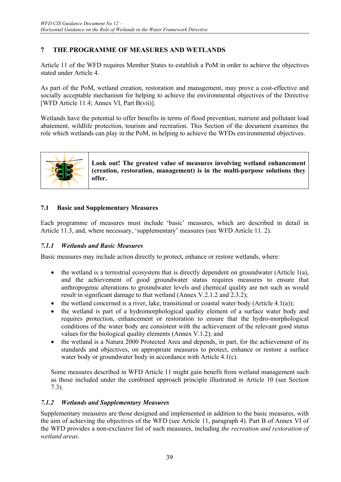## **7 THE PROGRAMME OF MEASURES AND WETLANDS**

Article 11 of the WFD requires Member States to establish a PoM in order to achieve the objectives stated under Article 4.

As part of the PoM, wetland creation, restoration and management, may prove a cost-effective and socially acceptable mechanism for helping to achieve the environmental objectives of the Directive [WFD Article 11.4; Annex VI, Part B(vii)].

Wetlands have the potential to offer benefits in terms of flood prevention, nutrient and pollutant load abatement, wildlife protection, tourism and recreation. This Section of the document examines the role which wetlands can play in the PoM, in helping to achieve the WFDs environmental objectives.



**Look out! The greatest value of measures involving wetland enhancement (creation, restoration, management) is in the multi-purpose solutions they offer.** 

## **7.1 Basic and Supplementary Measures**

Each programme of measures must include 'basic' measures, which are described in detail in Article 11.3, and, where necessary, 'supplementary' measures (see WFD Article 11. 2).

## *7.1.1 Wetlands and Basic Measures*

Basic measures may include action directly to protect, enhance or restore wetlands, where:

- the wetland is a terrestrial ecosystem that is directly dependent on groundwater (Article 1(a), and the achievement of good groundwater status requires measures to ensure that anthropogenic alterations to groundwater levels and chemical quality are not such as would result in significant damage to that wetland (Annex V.2.1.2 and 2.3.2);
- the wetland concerned is a river, lake, transitional or coastal water body (Article 4.1(a));
- the wetland is part of a hydromorphological quality element of a surface water body and requires protection, enhancement or restoration to ensure that the hydro-morphological conditions of the water body are consistent with the achievement of the relevant good status values for the biological quality elements (Annex V.1.2); and
- the wetland is a Natura 2000 Protected Area and depends, in part, for the achievement of its standards and objectives, on appropriate measures to protect, enhance or restore a surface water body or groundwater body in accordance with Article 4.1(c).

Some measures described in WFD Article 11 might gain benefit from wetland management such as those included under the combined approach principle illustrated in Article 10 (see Section 7.3).

#### *7.1.2 Wetlands and Supplementary Measures*

Supplementary measures are those designed and implemented in addition to the basic measures, with the aim of achieving the objectives of the WFD (see Article 11, paragraph 4). Part B of Annex VI of the WFD provides a non-exclusive list of such measures, including *the recreation and restoration of wetland areas*.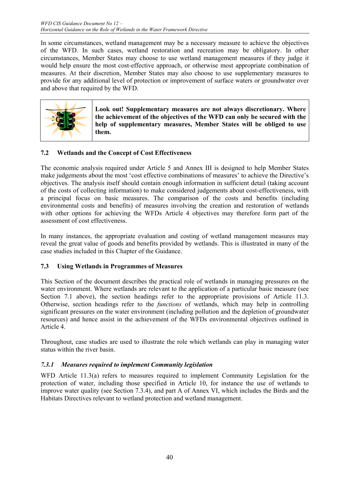In some circumstances, wetland management may be a necessary measure to achieve the objectives of the WFD. In such cases, wetland restoration and recreation may be obligatory. In other circumstances, Member States may choose to use wetland management measures if they judge it would help ensure the most cost-effective approach, or otherwise most appropriate combination of measures. At their discretion, Member States may also choose to use supplementary measures to provide for any additional level of protection or improvement of surface waters or groundwater over and above that required by the WFD.



**Look out! Supplementary measures are not always discretionary. Where the achievement of the objectives of the WFD can only be secured with the help of supplementary measures, Member States will be obliged to use them.** 

## **7.2 Wetlands and the Concept of Cost Effectiveness**

The economic analysis required under Article 5 and Annex III is designed to help Member States make judgements about the most 'cost effective combinations of measures' to achieve the Directive's objectives. The analysis itself should contain enough information in sufficient detail (taking account of the costs of collecting information) to make considered judgements about cost-effectiveness, with a principal focus on basic measures. The comparison of the costs and benefits (including environmental costs and benefits) of measures involving the creation and restoration of wetlands with other options for achieving the WFDs Article 4 objectives may therefore form part of the assessment of cost effectiveness.

In many instances, the appropriate evaluation and costing of wetland management measures may reveal the great value of goods and benefits provided by wetlands. This is illustrated in many of the case studies included in this Chapter of the Guidance.

## **7.3 Using Wetlands in Programmes of Measures**

This Section of the document describes the practical role of wetlands in managing pressures on the water environment. Where wetlands are relevant to the application of a particular basic measure (see Section 7.1 above), the section headings refer to the appropriate provisions of Article 11.3. Otherwise, section headings refer to the *functions* of wetlands, which may help in controlling significant pressures on the water environment (including pollution and the depletion of groundwater resources) and hence assist in the achievement of the WFDs environmental objectives outlined in Article 4.

Throughout, case studies are used to illustrate the role which wetlands can play in managing water status within the river basin.

## *7.3.1 Measures required to implement Community legislation*

WFD Article 11.3(a) refers to measures required to implement Community Legislation for the protection of water, including those specified in Article 10, for instance the use of wetlands to improve water quality (see Section 7.3.4), and part A of Annex VI, which includes the Birds and the Habitats Directives relevant to wetland protection and wetland management.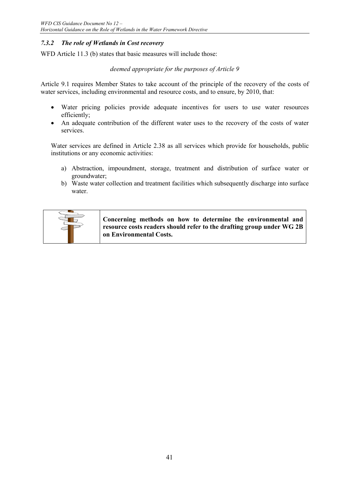## *7.3.2 The role of Wetlands in Cost recovery*

WFD Article 11.3 (b) states that basic measures will include those:

#### *deemed appropriate for the purposes of Article 9*

Article 9.1 requires Member States to take account of the principle of the recovery of the costs of water services, including environmental and resource costs, and to ensure, by 2010, that:

- Water pricing policies provide adequate incentives for users to use water resources efficiently;
- An adequate contribution of the different water uses to the recovery of the costs of water services.

Water services are defined in Article 2.38 as all services which provide for households, public institutions or any economic activities:

- a) Abstraction, impoundment, storage, treatment and distribution of surface water or groundwater;
- b) Waste water collection and treatment facilities which subsequently discharge into surface water.



**Concerning methods on how to determine the environmental and resource costs readers should refer to the drafting group under WG 2B on Environmental Costs.**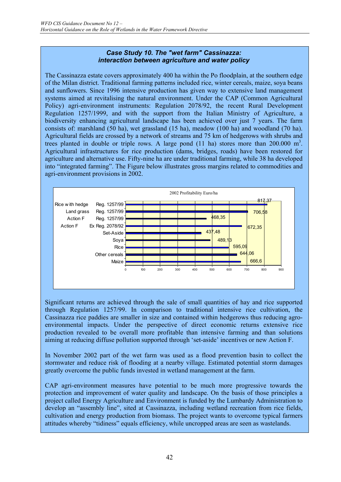#### *Case Study 10. The "wet farm" Cassinazza: interaction between agriculture and water policy*

The Cassinazza estate covers approximately 400 ha within the Po floodplain, at the southern edge of the Milan district. Traditional farming patterns included rice, winter cereals, maize, soya beans and sunflowers. Since 1996 intensive production has given way to extensive land management systems aimed at revitalising the natural environment. Under the CAP (Common Agricultural Policy) agri-environment instruments: Regulation 2078/92, the recent Rural Development Regulation 1257/1999, and with the support from the Italian Ministry of Agriculture, a biodiversity enhancing agricultural landscape has been achieved over just 7 years. The farm consists of: marshland (50 ha), wet grassland (15 ha), meadow (100 ha) and woodland (70 ha). Agricultural fields are crossed by a network of streams and 75 km of hedgerows with shrubs and trees planted in double or triple rows. A large pond  $(11$  ha) stores more than 200.000 m<sup>3</sup>. Agricultural infrastructures for rice production (dams, bridges, roads) have been restored for agriculture and alternative use. Fifty-nine ha are under traditional farming, while 38 ha developed into "integrated farming". The Figure below illustrates gross margins related to commodities and agri-environment provisions in 2002.



Significant returns are achieved through the sale of small quantities of hay and rice supported through Regulation 1257/99. In comparison to traditional intensive rice cultivation, the Cassinazza rice paddies are smaller in size and contained within hedgerows thus reducing agroenvironmental impacts. Under the perspective of direct economic returns extensive rice production revealed to be overall more profitable than intensive farming and than solutions aiming at reducing diffuse pollution supported through 'set-aside' incentives or new Action F.

In November 2002 part of the wet farm was used as a flood prevention basin to collect the stormwater and reduce risk of flooding at a nearby village. Estimated potential storm damages greatly overcome the public funds invested in wetland management at the farm.

CAP agri-environment measures have potential to be much more progressive towards the protection and improvement of water quality and landscape. On the basis of those principles a project called Energy Agriculture and Environment is funded by the Lumbardy Administration to develop an "assembly line", sited at Cassinazza, including wetland recreation from rice fields, cultivation and energy production from biomass. The project wants to overcome typical farmers attitudes whereby "tidiness" equals efficiency, while uncropped areas are seen as wastelands.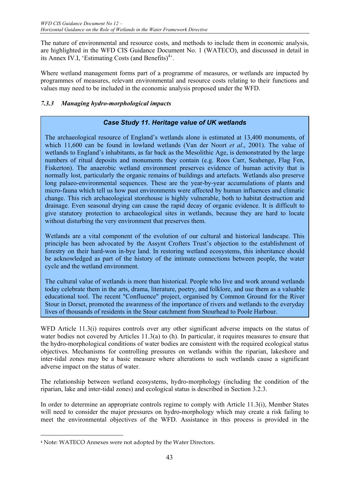The nature of environmental and resource costs, and methods to include them in economic analysis, are highlighted in the WFD CIS Guidance Document No. 1 (WATECO), and discussed in detail in its Annex IV.I, 'Estimating Costs (and Benefits)<sup>4</sup>'.

Where wetland management forms part of a programme of measures, or wetlands are impacted by programmes of measures, relevant environmental and resource costs relating to their functions and values may need to be included in the economic analysis proposed under the WFD.

## *7.3.3 Managing hydro-morphological impacts*

## *Case Study 11. Heritage value of UK wetlands*

The archaeological resource of England's wetlands alone is estimated at 13,400 monuments, of which 11,600 can be found in lowland wetlands (Van der Noort *et al*., 2001). The value of wetlands to England's inhabitants, as far back as the Mesolithic Age, is demonstrated by the large numbers of ritual deposits and monuments they contain (e.g. Roos Carr, Seahenge, Flag Fen, Fiskerton). The anaerobic wetland environment preserves evidence of human activity that is normally lost, particularly the organic remains of buildings and artefacts. Wetlands also preserve long palaeo-environmental sequences. These are the year-by-year accumulations of plants and micro-fauna which tell us how past environments were affected by human influences and climatic change. This rich archaeological storehouse is highly vulnerable, both to habitat destruction and drainage. Even seasonal drying can cause the rapid decay of organic evidence. It is difficult to give statutory protection to archaeological sites in wetlands, because they are hard to locate without disturbing the very environment that preserves them.

Wetlands are a vital component of the evolution of our cultural and historical landscape. This principle has been advocated by the Assynt Crofters Trust's objection to the establishment of forestry on their hard-won in-bye land. In restoring wetland ecosystems, this inheritance should be acknowledged as part of the history of the intimate connections between people, the water cycle and the wetland environment.

The cultural value of wetlands is more than historical. People who live and work around wetlands today celebrate them in the arts, drama, literature, poetry, and folklore, and use them as a valuable educational tool. The recent "Confluence" project, organised by Common Ground for the River Stour in Dorset, promoted the awareness of the importance of rivers and wetlands to the everyday lives of thousands of residents in the Stour catchment from Stourhead to Poole Harbour.

WFD Article 11.3(i) requires controls over any other significant adverse impacts on the status of water bodies not covered by Articles 11.3(a) to (h). In particular, it requires measures to ensure that the hydro-morphological conditions of water bodies are consistent with the required ecological status objectives. Mechanisms for controlling pressures on wetlands within the riparian, lakeshore and inter-tidal zones may be a basic measure where alterations to such wetlands cause a significant adverse impact on the status of water.

The relationship between wetland ecosystems, hydro-morphology (including the condition of the riparian, lake and inter-tidal zones) and ecological status is described in Section 3.2.3.

In order to determine an appropriate controls regime to comply with Article 11.3(i), Member States will need to consider the major pressures on hydro-morphology which may create a risk failing to meet the environmental objectives of the WFD. Assistance in this process is provided in the

 $\overline{a}$ 

<sup>4</sup> Note: WATECO Annexes were not adopted by the Water Directors.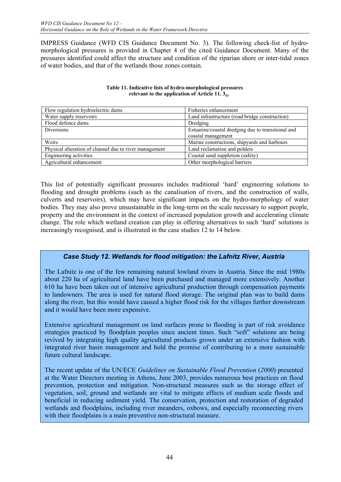IMPRESS Guidance (WFD CIS Guidance Document No. 3). The following check-list of hydromorphological pressures is provided in Chapter 4 of the cited Guidance Document. Many of the pressures identified could affect the structure and condition of the riparian shore or inter-tidal zones of water bodies, and that of the wetlands those zones contain.

| Flow regulation hydroelectric dams                     | Fisheries enhancement                              |
|--------------------------------------------------------|----------------------------------------------------|
| Water supply reservoirs                                | Land infrastructure (road/bridge construction)     |
| Flood defence dams                                     | Dredging                                           |
| <b>Diversions</b>                                      | Estuarine/coastal dredging due to transitional and |
|                                                        | coastal management                                 |
| Weirs                                                  | Marine constructions, shipyards and harbours       |
| Physical alteration of channel due to river management | Land reclamation and polders                       |
| Engineering activities                                 | Coastal sand suppletion (safety)                   |
| Agricultural enhancement                               | Other morphological barriers                       |

#### **Table 11. Indicative lists of hydro-morphological pressures relevant to the application of Article 11. 3(i)**

This list of potentially significant pressures includes traditional 'hard' engineering solutions to flooding and drought problems (such as the canalisation of rivers, and the construction of walls, culverts and reservoirs), which may have significant impacts on the hydro-morphology of water bodies. They may also prove unsustainable in the long-term on the scale necessary to support people, property and the environment in the context of increased population growth and accelerating climate change. The role which wetland creation can play in offering alternatives to such 'hard' solutions is increasingly recognised, and is illustrated in the case studies 12 to 14 below.

## *Case Study 12. Wetlands for flood mitigation: the Lafnitz River, Austria*

The Lafnitz is one of the few remaining natural lowland rivers in Austria. Since the mid 1980s about 220 ha of agricultural land have been purchased and managed more extensively. Another 610 ha have been taken out of intensive agricultural production through compensation payments to landowners. The area is used for natural flood storage. The original plan was to build dams along the river, but this would have caused a higher flood risk for the villages further downstream and it would have been more expensive.

Extensive agricultural management on land surfaces prone to flooding is part of risk avoidance strategies practiced by floodplain peoples since ancient times. Such "soft" solutions are being revived by integrating high quality agricultural products grown under an extensive fashion with integrated river basin management and hold the promise of contributing to a more sustainable future cultural landscape.

The recent update of the UN/ECE *Guidelines on Sustainable Flood Prevention* (*2000*) presented at the Water Directors meeting in Athens, June 2003, provides numerous best practices on flood prevention, protection and mitigation. Non-structural measures such as the storage effect of vegetation, soil, ground and wetlands are vital to mitigate effects of medium scale floods and beneficial in reducing sediment yield. The conservation, protection and restoration of degraded wetlands and floodplains, including river meanders, oxbows, and especially reconnecting rivers with their floodplains is a main preventive non-structural measure.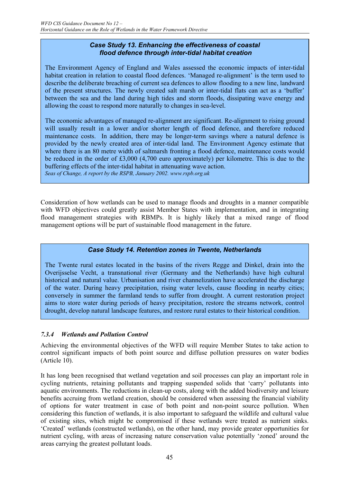#### *Case Study 13. Enhancing the effectiveness of coastal flood defence through inter-tidal habitat creation*

The Environment Agency of England and Wales assessed the economic impacts of inter-tidal habitat creation in relation to coastal flood defences. 'Managed re-alignment' is the term used to describe the deliberate breaching of current sea defences to allow flooding to a new line, landward of the present structures. The newly created salt marsh or inter-tidal flats can act as a 'buffer' between the sea and the land during high tides and storm floods, dissipating wave energy and allowing the coast to respond more naturally to changes in sea-level.

The economic advantages of managed re-alignment are significant. Re-alignment to rising ground will usually result in a lower and/or shorter length of flood defence, and therefore reduced maintenance costs. In addition, there may be longer-term savings where a natural defence is provided by the newly created area of inter-tidal land. The Environment Agency estimate that where there is an 80 metre width of saltmarsh fronting a flood defence, maintenance costs would be reduced in the order of £3,000 (4,700 euro approximately) per kilometre. This is due to the buffering effects of the inter-tidal habitat in attenuating wave action.

*Seas of Change, A report by the RSPB, January 2002. www.rspb.org.uk* 

Consideration of how wetlands can be used to manage floods and droughts in a manner compatible with WFD objectives could greatly assist Member States with implementation, and in integrating flood management strategies with RBMPs. It is highly likely that a mixed range of flood management options will be part of sustainable flood management in the future.

## *Case Study 14. Retention zones in Twente, Netherlands*

The Twente rural estates located in the basins of the rivers Regge and Dinkel, drain into the Overijsselse Vecht, a transnational river (Germany and the Netherlands) have high cultural historical and natural value. Urbanisation and river channelization have accelerated the discharge of the water. During heavy precipitation, rising water levels, cause flooding in nearby cities; conversely in summer the farmland tends to suffer from drought. A current restoration project aims to store water during periods of heavy precipitation, restore the streams network, control drought, develop natural landscape features, and restore rural estates to their historical condition.

## *7.3.4 Wetlands and Pollution Control*

Achieving the environmental objectives of the WFD will require Member States to take action to control significant impacts of both point source and diffuse pollution pressures on water bodies (Article 10).

It has long been recognised that wetland vegetation and soil processes can play an important role in cycling nutrients, retaining pollutants and trapping suspended solids that 'carry' pollutants into aquatic environments. The reductions in clean-up costs, along with the added biodiversity and leisure benefits accruing from wetland creation, should be considered when assessing the financial viability of options for water treatment in case of both point and non-point source pollution. When considering this function of wetlands, it is also important to safeguard the wildlife and cultural value of existing sites, which might be compromised if these wetlands were treated as nutrient sinks. 'Created' wetlands (constructed wetlands), on the other hand, may provide greater opportunities for nutrient cycling, with areas of increasing nature conservation value potentially 'zoned' around the areas carrying the greatest pollutant loads.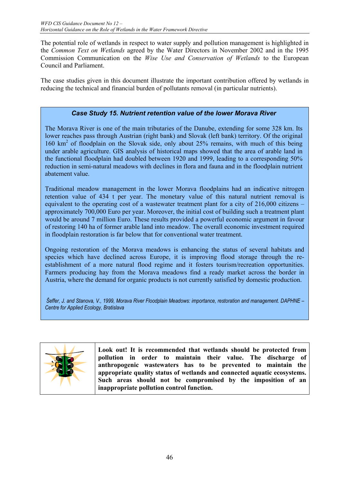The potential role of wetlands in respect to water supply and pollution management is highlighted in the *Common Text on Wetlands* agreed by the Water Directors in November 2002 and in the 1995 Commission Communication on the *Wise Use and Conservation of Wetlands* to the European Council and Parliament.

The case studies given in this document illustrate the important contribution offered by wetlands in reducing the technical and financial burden of pollutants removal (in particular nutrients).

## *Case Study 15. Nutrient retention value of the lower Morava River*

The Morava River is one of the main tributaries of the Danube, extending for some 328 km. Its lower reaches pass through Austrian (right bank) and Slovak (left bank) territory. Of the original 160 km2 of floodplain on the Slovak side, only about 25% remains, with much of this being under arable agriculture. GIS analysis of historical maps showed that the area of arable land in the functional floodplain had doubled between 1920 and 1999, leading to a corresponding 50% reduction in semi-natural meadows with declines in flora and fauna and in the floodplain nutrient abatement value.

Traditional meadow management in the lower Morava floodplains had an indicative nitrogen retention value of 434 t per year. The monetary value of this natural nutrient removal is equivalent to the operating cost of a wastewater treatment plant for a city of 216,000 citizens – approximately 700,000 Euro per year. Moreover, the initial cost of building such a treatment plant would be around 7 million Euro. These results provided a powerful economic argument in favour of restoring 140 ha of former arable land into meadow. The overall economic investment required in floodplain restoration is far below that for conventional water treatment.

Ongoing restoration of the Morava meadows is enhancing the status of several habitats and species which have declined across Europe, it is improving flood storage through the reestablishment of a more natural flood regime and it fosters tourism/recreation opportunities. Farmers producing hay from the Morava meadows find a ready market across the border in Austria, where the demand for organic products is not currently satisfied by domestic production.

 *Šeffer, J. and Stanova, V., 1999, Morava River Floodplain Meadows: importance, restoration and management. DAPHNE – Centre for Applied Ecology, Bratislava*



**Look out! It is recommended that wetlands should be protected from pollution in order to maintain their value. The discharge of anthropogenic wastewaters has to be prevented to maintain the appropriate quality status of wetlands and connected aquatic ecosystems. Such areas should not be compromised by the imposition of an inappropriate pollution control function.**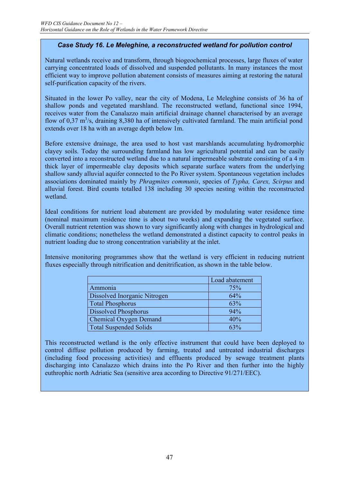## *Case Study 16. Le Meleghine, a reconstructed wetland for pollution control*

Natural wetlands receive and transform, through biogeochemical processes, large fluxes of water carrying concentrated loads of dissolved and suspended pollutants. In many instances the most efficient way to improve pollution abatement consists of measures aiming at restoring the natural self-purification capacity of the rivers.

Situated in the lower Po valley, near the city of Modena, Le Meleghine consists of 36 ha of shallow ponds and vegetated marshland. The reconstructed wetland, functional since 1994, receives water from the Canalazzo main artificial drainage channel characterised by an average flow of  $0.37 \text{ m}^3$ /s, draining 8,380 ha of intensively cultivated farmland. The main artificial pond extends over 18 ha with an average depth below 1m.

Before extensive drainage, the area used to host vast marshlands accumulating hydromorphic clayey soils. Today the surrounding farmland has low agricultural potential and can be easily converted into a reconstructed wetland due to a natural impermeable substrate consisting of a 4 m thick layer of impermeable clay deposits which separate surface waters from the underlying shallow sandy alluvial aquifer connected to the Po River system. Spontaneous vegetation includes associations dominated mainly by *Phragmites communis*, species of *Typha, Carex, Scirpus* and alluvial forest. Bird counts totalled 138 including 30 species nesting within the reconstructed wetland.

Ideal conditions for nutrient load abatement are provided by modulating water residence time (nominal maximum residence time is about two weeks) and expanding the vegetated surface. Overall nutrient retention was shown to vary significantly along with changes in hydrological and climatic conditions; nonetheless the wetland demonstrated a distinct capacity to control peaks in nutrient loading due to strong concentration variability at the inlet.

Intensive monitoring programmes show that the wetland is very efficient in reducing nutrient fluxes especially through nitrification and denitrification, as shown in the table below.

|                               | Load abatement |
|-------------------------------|----------------|
| Ammonia                       | 75%            |
| Dissolved Inorganic Nitrogen  | 64%            |
| <b>Total Phosphorus</b>       | 63%            |
| <b>Dissolved Phosphorus</b>   | 94%            |
| <b>Chemical Oxygen Demand</b> | 40%            |
| <b>Total Suspended Solids</b> | $63\%$         |

This reconstructed wetland is the only effective instrument that could have been deployed to control diffuse pollution produced by farming, treated and untreated industrial discharges (including food processing activities) and effluents produced by sewage treatment plants discharging into Canalazzo which drains into the Po River and then further into the highly euthrophic north Adriatic Sea (sensitive area according to Directive 91/271/EEC).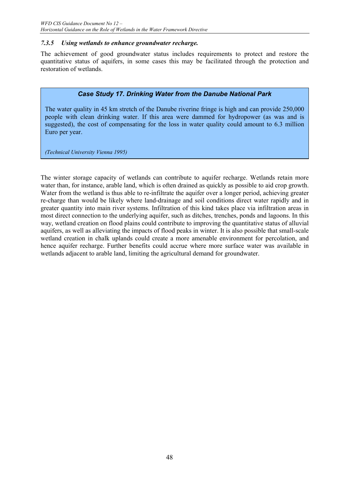#### *7.3.5 Using wetlands to enhance groundwater recharge.*

The achievement of good groundwater status includes requirements to protect and restore the quantitative status of aquifers, in some cases this may be facilitated through the protection and restoration of wetlands.

## *Case Study 17. Drinking Water from the Danube National Park*

The water quality in 45 km stretch of the Danube riverine fringe is high and can provide 250,000 people with clean drinking water. If this area were dammed for hydropower (as was and is suggested), the cost of compensating for the loss in water quality could amount to 6.3 million Euro per year.

*(Technical University Vienna 1995)*

The winter storage capacity of wetlands can contribute to aquifer recharge. Wetlands retain more water than, for instance, arable land, which is often drained as quickly as possible to aid crop growth. Water from the wetland is thus able to re-infiltrate the aquifer over a longer period, achieving greater re-charge than would be likely where land-drainage and soil conditions direct water rapidly and in greater quantity into main river systems. Infiltration of this kind takes place via infiltration areas in most direct connection to the underlying aquifer, such as ditches, trenches, ponds and lagoons. In this way, wetland creation on flood plains could contribute to improving the quantitative status of alluvial aquifers, as well as alleviating the impacts of flood peaks in winter. It is also possible that small-scale wetland creation in chalk uplands could create a more amenable environment for percolation, and hence aquifer recharge. Further benefits could accrue where more surface water was available in wetlands adjacent to arable land, limiting the agricultural demand for groundwater.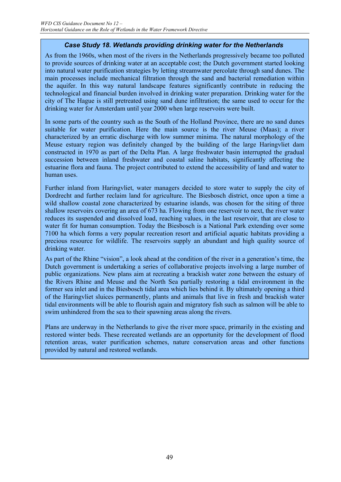## *Case Study 18. Wetlands providing drinking water for the Netherlands*

As from the 1960s, when most of the rivers in the Netherlands progressively became too polluted to provide sources of drinking water at an acceptable cost; the Dutch government started looking into natural water purification strategies by letting streamwater percolate through sand dunes. The main processes include mechanical filtration through the sand and bacterial remediation within the aquifer. In this way natural landscape features significantly contribute in reducing the technological and financial burden involved in drinking water preparation. Drinking water for the city of The Hague is still pretreated using sand dune infiltration; the same used to occur for the drinking water for Amsterdam until year 2000 when large reservoirs were built.

In some parts of the country such as the South of the Holland Province, there are no sand dunes suitable for water purification. Here the main source is the river Meuse (Maas); a river characterized by an erratic discharge with low summer minima. The natural morphology of the Meuse estuary region was definitely changed by the building of the large Haringvliet dam constructed in 1970 as part of the Delta Plan. A large freshwater basin interrupted the gradual succession between inland freshwater and coastal saline habitats, significantly affecting the estuarine flora and fauna. The project contributed to extend the accessibility of land and water to human uses.

Further inland from Haringvliet, water managers decided to store water to supply the city of Dordrecht and further reclaim land for agriculture. The Biesbosch district, once upon a time a wild shallow coastal zone characterized by estuarine islands, was chosen for the siting of three shallow reservoirs covering an area of 673 ha. Flowing from one reservoir to next, the river water reduces its suspended and dissolved load, reaching values, in the last reservoir, that are close to water fit for human consumption. Today the Biesbosch is a National Park extending over some 7100 ha which forms a very popular recreation resort and artificial aquatic habitats providing a precious resource for wildlife. The reservoirs supply an abundant and high quality source of drinking water.

As part of the Rhine "vision", a look ahead at the condition of the river in a generation's time, the Dutch government is undertaking a series of collaborative projects involving a large number of public organizations. New plans aim at recreating a brackish water zone between the estuary of the Rivers Rhine and Meuse and the North Sea partially restoring a tidal environment in the former sea inlet and in the Biesbosch tidal area which lies behind it. By ultimately opening a third of the Haringvliet sluices permanently, plants and animals that live in fresh and brackish water tidal environments will be able to flourish again and migratory fish such as salmon will be able to swim unhindered from the sea to their spawning areas along the rivers.

Plans are underway in the Netherlands to give the river more space, primarily in the existing and restored winter beds. These recreated wetlands are an opportunity for the development of flood retention areas, water purification schemes, nature conservation areas and other functions provided by natural and restored wetlands.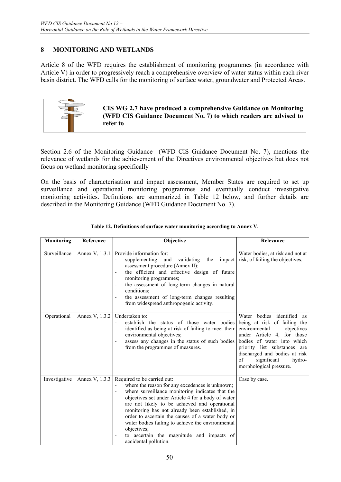## **8 MONITORING AND WETLANDS**

Article 8 of the WFD requires the establishment of monitoring programmes (in accordance with Article V) in order to progressively reach a comprehensive overview of water status within each river basin district. The WFD calls for the monitoring of surface water, groundwater and Protected Areas.



Section 2.6 of the Monitoring Guidance (WFD CIS Guidance Document No. 7), mentions the relevance of wetlands for the achievement of the Directives environmental objectives but does not focus on wetland monitoring specifically

On the basis of characterisation and impact assessment, Member States are required to set up surveillance and operational monitoring programmes and eventually conduct investigative monitoring activities. Definitions are summarized in Table 12 below, and further details are described in the Monitoring Guidance (WFD Guidance Document No. 7).

| Monitoring    | Reference      | Objective                                                                                                                                                                                                                                                                                                                                                                                                                                                                                  | Relevance                                                                                                                                                                                                                                                                        |
|---------------|----------------|--------------------------------------------------------------------------------------------------------------------------------------------------------------------------------------------------------------------------------------------------------------------------------------------------------------------------------------------------------------------------------------------------------------------------------------------------------------------------------------------|----------------------------------------------------------------------------------------------------------------------------------------------------------------------------------------------------------------------------------------------------------------------------------|
| Surveillance  | Annex V, 1.3.1 | Provide information for:<br>supplementing<br>and<br>validating<br>the<br>assessment procedure (Annex II);<br>the efficient and effective design of future<br>monitoring programmes;<br>the assessment of long-term changes in natural<br>conditions;<br>the assessment of long-term changes resulting<br>from widespread anthropogenic activity.                                                                                                                                           | Water bodies, at risk and not at<br>impact risk, of failing the objectives.                                                                                                                                                                                                      |
| Operational   | Annex V, 1.3.2 | Undertaken to:<br>establish the status of those water bodies<br>identified as being at risk of failing to meet their<br>environmental objectives;<br>assess any changes in the status of such bodies<br>from the programmes of measures.                                                                                                                                                                                                                                                   | Water bodies identified as<br>being at risk of failing the<br>environmental<br>objectives<br>under Article 4, for those<br>bodies of water into which<br>priority list substances are<br>discharged and bodies at risk<br>of<br>significant<br>hydro-<br>morphological pressure. |
| Investigative | Annex V, 1.3.3 | Required to be carried out:<br>where the reason for any excedences is unknown;<br>where surveillance monitoring indicates that the<br>objectives set under Article 4 for a body of water<br>are not likely to be achieved and operational<br>monitoring has not already been established, in<br>order to ascertain the causes of a water body or<br>water bodies failing to achieve the environmental<br>objectives;<br>to ascertain the magnitude and impacts of<br>accidental pollution. | Case by case.                                                                                                                                                                                                                                                                    |

#### **Table 12. Definitions of surface water monitoring according to Annex V.**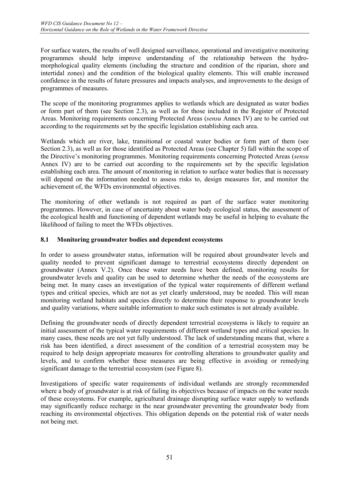For surface waters, the results of well designed surveillance, operational and investigative monitoring programmes should help improve understanding of the relationship between the hydromorphological quality elements (including the structure and condition of the riparian, shore and intertidal zones) and the condition of the biological quality elements. This will enable increased confidence in the results of future pressures and impacts analyses, and improvements to the design of programmes of measures.

The scope of the monitoring programmes applies to wetlands which are designated as water bodies or form part of them (see Section 2.3), as well as for those included in the Register of Protected Areas. Monitoring requirements concerning Protected Areas (*sensu* Annex IV) are to be carried out according to the requirements set by the specific legislation establishing each area.

Wetlands which are river, lake, transitional or coastal water bodies or form part of them (see Section 2.3), as well as for those identified as Protected Areas (see Chapter 5) fall within the scope of the Directive's monitoring programmes. Monitoring requirements concerning Protected Areas (*sensu* Annex IV) are to be carried out according to the requirements set by the specific legislation establishing each area. The amount of monitoring in relation to surface water bodies that is necessary will depend on the information needed to assess risks to, design measures for, and monitor the achievement of, the WFDs environmental objectives.

The monitoring of other wetlands is not required as part of the surface water monitoring programmes. However, in case of uncertainty about water body ecological status, the assessment of the ecological health and functioning of dependent wetlands may be useful in helping to evaluate the likelihood of failing to meet the WFDs objectives.

#### **8.1 Monitoring groundwater bodies and dependent ecosystems**

In order to assess groundwater status, information will be required about groundwater levels and quality needed to prevent significant damage to terrestrial ecosystems directly dependent on groundwater (Annex V.2). Once these water needs have been defined, monitoring results for groundwater levels and quality can be used to determine whether the needs of the ecosystems are being met. In many cases an investigation of the typical water requirements of different wetland types and critical species, which are not as yet clearly understood, may be needed. This will mean monitoring wetland habitats and species directly to determine their response to groundwater levels and quality variations, where suitable information to make such estimates is not already available.

Defining the groundwater needs of directly dependent terrestrial ecosystems is likely to require an initial assessment of the typical water requirements of different wetland types and critical species. In many cases, these needs are not yet fully understood. The lack of understanding means that, where a risk has been identified, a direct assessment of the condition of a terrestrial ecosystem may be required to help design appropriate measures for controlling alterations to groundwater quality and levels, and to confirm whether these measures are being effective in avoiding or remedying significant damage to the terrestrial ecosystem (see Figure 8).

Investigations of specific water requirements of individual wetlands are strongly recommended where a body of groundwater is at risk of failing its objectives because of impacts on the water needs of these ecosystems. For example, agricultural drainage disrupting surface water supply to wetlands may significantly reduce recharge in the near groundwater preventing the groundwater body from reaching its environmental objectives. This obligation depends on the potential risk of water needs not being met.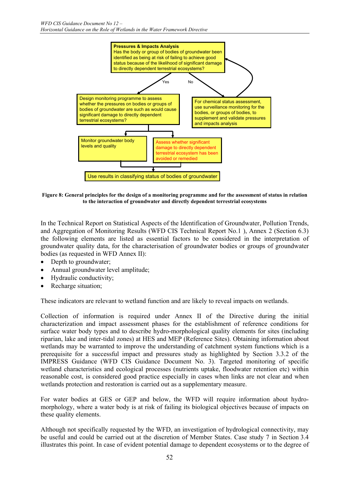

**Figure 8: General principles for the design of a monitoring programme and for the assessment of status in relation to the interaction of groundwater and directly dependent terrestrial ecosystems** 

In the Technical Report on Statistical Aspects of the Identification of Groundwater, Pollution Trends, and Aggregation of Monitoring Results (WFD CIS Technical Report No.1 ), Annex 2 (Section 6.3) the following elements are listed as essential factors to be considered in the interpretation of groundwater quality data, for the characterisation of groundwater bodies or groups of groundwater bodies (as requested in WFD Annex II):

- Depth to groundwater;
- Annual groundwater level amplitude;
- Hydraulic conductivity;
- Recharge situation;

These indicators are relevant to wetland function and are likely to reveal impacts on wetlands.

Collection of information is required under Annex II of the Directive during the initial characterization and impact assessment phases for the establishment of reference conditions for surface water body types and to describe hydro-morphological quality elements for sites (including riparian, lake and inter-tidal zones) at HES and MEP (Reference Sites). Obtaining information about wetlands may be warranted to improve the understanding of catchment system functions which is a prerequisite for a successful impact and pressures study as highlighted by Section 3.3.2 of the IMPRESS Guidance (WFD CIS Guidance Document No. 3). Targeted monitoring of specific wetland characteristics and ecological processes (nutrients uptake, floodwater retention etc) within reasonable cost, is considered good practice especially in cases when links are not clear and when wetlands protection and restoration is carried out as a supplementary measure.

For water bodies at GES or GEP and below, the WFD will require information about hydromorphology, where a water body is at risk of failing its biological objectives because of impacts on these quality elements.

Although not specifically requested by the WFD, an investigation of hydrological connectivity, may be useful and could be carried out at the discretion of Member States. Case study 7 in Section 3.4 illustrates this point. In case of evident potential damage to dependent ecosystems or to the degree of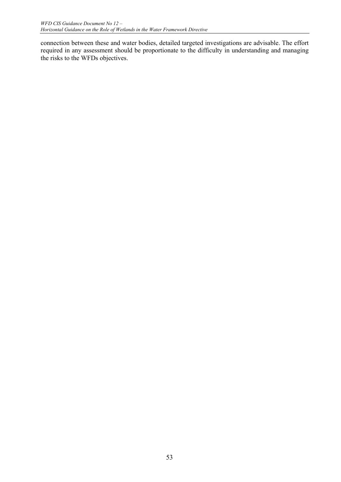connection between these and water bodies, detailed targeted investigations are advisable. The effort required in any assessment should be proportionate to the difficulty in understanding and managing the risks to the WFDs objectives.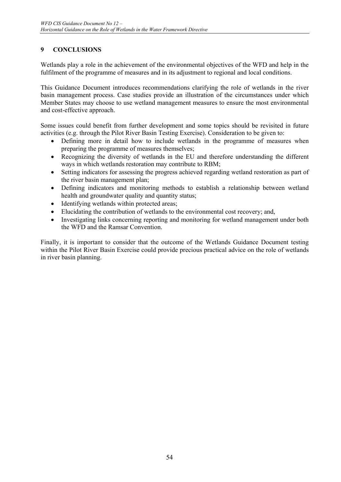## **9 CONCLUSIONS**

Wetlands play a role in the achievement of the environmental objectives of the WFD and help in the fulfilment of the programme of measures and in its adjustment to regional and local conditions.

This Guidance Document introduces recommendations clarifying the role of wetlands in the river basin management process. Case studies provide an illustration of the circumstances under which Member States may choose to use wetland management measures to ensure the most environmental and cost-effective approach.

Some issues could benefit from further development and some topics should be revisited in future activities (e.g. through the Pilot River Basin Testing Exercise). Consideration to be given to:

- Defining more in detail how to include wetlands in the programme of measures when preparing the programme of measures themselves;
- Recognizing the diversity of wetlands in the EU and therefore understanding the different ways in which wetlands restoration may contribute to RBM;
- Setting indicators for assessing the progress achieved regarding wetland restoration as part of the river basin management plan;
- Defining indicators and monitoring methods to establish a relationship between wetland health and groundwater quality and quantity status;
- Identifying wetlands within protected areas;
- Elucidating the contribution of wetlands to the environmental cost recovery; and,
- Investigating links concerning reporting and monitoring for wetland management under both the WFD and the Ramsar Convention.

Finally, it is important to consider that the outcome of the Wetlands Guidance Document testing within the Pilot River Basin Exercise could provide precious practical advice on the role of wetlands in river basin planning.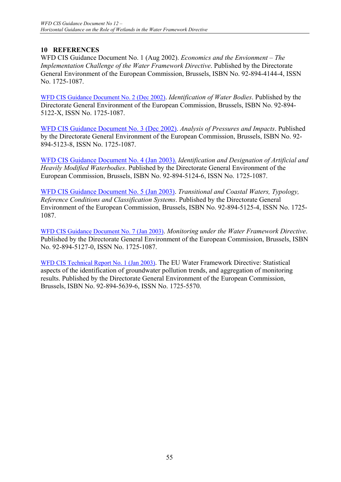## **10 REFERENCES**

WFD CIS Guidance Document No. 1 (Aug 2002). *Economics and the Envionment – The Implementation Challenge of the Water Framework Directive*. Published by the Directorate General Environment of the European Commission, Brussels, ISBN No. 92-894-4144-4, ISSN No. 1725-1087.

WFD CIS Guidance Document No. 2 (Dec 2002). *Identification of Water Bodies*. Published by the Directorate General Environment of the European Commission, Brussels, ISBN No. 92-894- 5122-X, ISSN No. 1725-1087.

WFD CIS Guidance Document No. 3 (Dec 2002). *Analysis of Pressures and Impacts*. Published by the Directorate General Environment of the European Commission, Brussels, ISBN No. 92- 894-5123-8, ISSN No. 1725-1087.

WFD CIS Guidance Document No. 4 (Jan 2003). *Identification and Designation of Artificial and Heavily Modified Waterbodies*. Published by the Directorate General Environment of the European Commission, Brussels, ISBN No. 92-894-5124-6, ISSN No. 1725-1087.

WFD CIS Guidance Document No. 5 (Jan 2003). *Transitional and Coastal Waters, Typology, Reference Conditions and Classification Systems*. Published by the Directorate General Environment of the European Commission, Brussels, ISBN No. 92-894-5125-4, ISSN No. 1725- 1087.

WFD CIS Guidance Document No. 7 (Jan 2003). *Monitoring under the Water Framework Directive*. Published by the Directorate General Environment of the European Commission, Brussels, ISBN No. 92-894-5127-0, ISSN No. 1725-1087.

WFD CIS Technical Report No. 1 (Jan 2003). The EU Water Framework Directive: Statistical aspects of the identification of groundwater pollution trends, and aggregation of monitoring results. Published by the Directorate General Environment of the European Commission, Brussels, ISBN No. 92-894-5639-6, ISSN No. 1725-5570.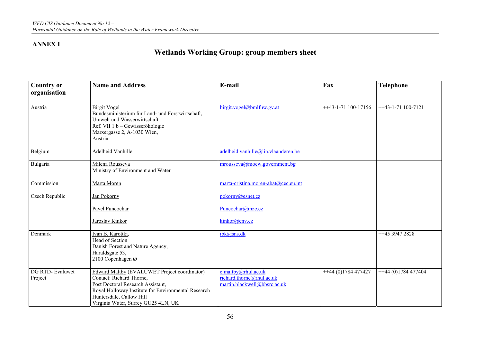## **ANNEX I**

## **Wetlands Working Group: group members sheet**

| <b>Country or</b><br>organisation | <b>Name and Address</b>                                                                                                                                                                                                                 | E-mail                                                                           | Fax                   | <b>Telephone</b>    |
|-----------------------------------|-----------------------------------------------------------------------------------------------------------------------------------------------------------------------------------------------------------------------------------------|----------------------------------------------------------------------------------|-----------------------|---------------------|
| Austria                           | <b>Birgit Vogel</b><br>Bundesministerium für Land- und Forstwirtschaft,<br>Umwelt und Wasserwirtschaft<br>Ref. VII 1 b - Gewässerökologie<br>Marxergasse 2, A-1030 Wien,<br>Austria                                                     | birgit.vogel@bmlfuw.gv.at                                                        | $++43-1-71$ 100-17156 | $+43-1-71$ 100-7121 |
| Belgium                           | <b>Adelheid Vanhille</b>                                                                                                                                                                                                                | adelheid.vanhille@lin.vlaanderen.be                                              |                       |                     |
| Bulgaria                          | Milena Rousseva<br>Ministry of Environment and Water                                                                                                                                                                                    | mrousseva@moew.government.bg                                                     |                       |                     |
| Commission                        | Marta Moren                                                                                                                                                                                                                             | marta-cristina.moren-abat@cec.eu.int                                             |                       |                     |
| Czech Republic                    | Jan Pokorny                                                                                                                                                                                                                             | pokorny@esnet.cz                                                                 |                       |                     |
|                                   | Pavel Puncochar                                                                                                                                                                                                                         | Puncochar@mze.cz                                                                 |                       |                     |
|                                   | Jaroslav Kinkor                                                                                                                                                                                                                         | kinkor@env.cz                                                                    |                       |                     |
| Denmark                           | Ivan B. Karottki,<br>Head of Section<br>Danish Forest and Nature Agency,<br>Haraldsgate 53,<br>2100 Copenhagen Ø                                                                                                                        | ibk@sns.dk                                                                       |                       | ++45 3947 2828      |
| DG RTD-Evaluwet<br>Project        | Edward Maltby (EVALUWET Project coordinator)<br>Contact: Richard Thorne,<br>Post Doctoral Research Assistant,<br>Royal Holloway Institute for Environmental Research<br>Huntersdale, Callow Hill<br>Virginia Water, Surrey GU25 4LN, UK | e.maltby@rhul.ac.uk<br>richard.thorne@rhul.ac.uk<br>martin.blackwell@bbsrc.ac.uk | $+44(0)1784477427$    | $+44(0)1784477404$  |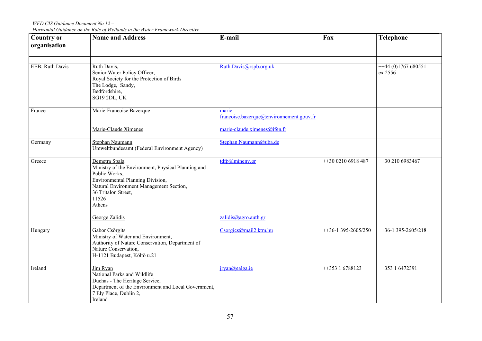*WFD CIS Guidance Document No 12 – Horizontal Guidance on the Role of Wetlands in the Water Framework Directive* 

| <b>Country or</b><br>organisation | <b>Name and Address</b>                                                                                                                                                                                       | E-mail                                                                             | Fax                 | <b>Telephone</b>              |
|-----------------------------------|---------------------------------------------------------------------------------------------------------------------------------------------------------------------------------------------------------------|------------------------------------------------------------------------------------|---------------------|-------------------------------|
| EEB: Ruth Davis                   | Ruth Davis,<br>Senior Water Policy Officer,<br>Royal Society for the Protection of Birds<br>The Lodge, Sandy,<br>Bedfordshire,<br>SG19 2DL, UK                                                                | Ruth.Davis@rspb.org.uk                                                             |                     | $+44(0)1767680551$<br>ex 2556 |
| France                            | Marie-Francoise Bazerque<br>Marie-Claude Ximenes                                                                                                                                                              | marie-<br>francoise.bazerque@environnement.gouv.fr<br>marie-claude.ximenes@ifen.fr |                     |                               |
| Germany                           | Stephan Naumann<br>Umweltbundesamt (Federal Environment Agency)                                                                                                                                               | Stephan.Naumann@uba.de                                                             |                     |                               |
| Greece                            | Demetra Spala<br>Ministry of the Environment, Physical Planning and<br>Public Works,<br>Environmental Planning Division,<br>Natural Environment Management Section,<br>36 Tritalon Street,<br>11526<br>Athens | $tdfp@$ minenv.gr                                                                  | ++30 0210 6918 487  | ++30 210 6983467              |
|                                   | George Zalidis                                                                                                                                                                                                | zalidis@agro.auth.gr                                                               |                     |                               |
| Hungary                           | Gabor Csörgits<br>Ministry of Water and Environment,<br>Authority of Nature Conservation, Department of<br>Nature Conservation,<br>H-1121 Budapest, Költö u.21                                                | Csorgics@mail2.ktm.hu                                                              | $+36-1395-2605/250$ | $+36-1395-2605/218$           |
| Ireland                           | Jim Ryan<br>National Parks and Wildlife<br>Duchas - The Heritage Service,<br>Department of the Environment and Local Government,<br>7 Ely Place, Dublin 2,<br>Ireland                                         | $iryan@ealga_ie$                                                                   | $+35316788123$      | $+35316472391$                |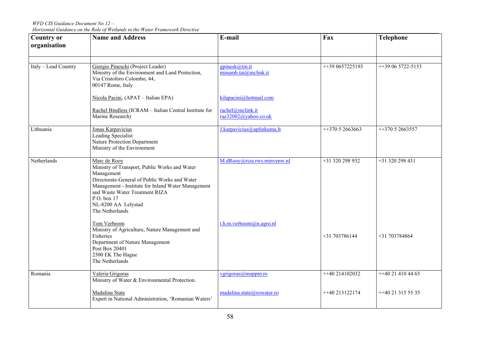*WFD CIS Guidance Document No 12 – Horizontal Guidance on the Role of Wetlands in the Water Framework Directive* 

| <b>Country or</b><br>organisation | <b>Name and Address</b>                                                                                                                                                                                                                                                       | E-mail                                   | Fax             | <b>Telephone</b>   |
|-----------------------------------|-------------------------------------------------------------------------------------------------------------------------------------------------------------------------------------------------------------------------------------------------------------------------------|------------------------------------------|-----------------|--------------------|
|                                   |                                                                                                                                                                                                                                                                               |                                          |                 |                    |
| Italy - Lead Country              | Giorgio Pineschi (Project Leader)<br>Ministry of the Environment and Land Protection,<br>Via Cristoforo Colombo, 44,<br>00147 Rome, Italy                                                                                                                                     | gpinesk@tin.it<br>minamb.tai@mclink.it   | ++39 0657225193 | ++39 06 5722-5153  |
|                                   | Nicola Pacini, (APAT - Italian EPA)                                                                                                                                                                                                                                           | kilapacini@hotmail.com                   |                 |                    |
|                                   | Rachel Bindless (ICRAM - Italian Central Institute for<br>Marine Research)                                                                                                                                                                                                    | rachel@mclink.it<br>rae32002@yahoo.co.uk |                 |                    |
| Lithuania                         | Jonas Karpavicius<br>Leading Specialist<br>Nature Protection Department<br>Ministry of the Environment                                                                                                                                                                        | J.karpavicius@aplinkuma.lt               | $+37052663663$  | ++370 5 2663557    |
| Netherlands                       | Marc de Rooy<br>Ministry of Transport, Public Works and Water<br>Management<br>Directorate-General of Public Works and Water<br>Management - Institute for Inland Water Management<br>and Waste Water Treatment RIZA<br>P.O. box 17<br>NL-8200 AA Lelystad<br>The Netherlands | M.dRooy@riza.rws.minvenw.nl              | +31 320 298 932 | +31 320 298 431    |
|                                   | Tom Verboom<br>Ministry of Agriculture, Nature Management and<br>Fisheries<br>Department of Nature Management<br>Post Box 20401<br>2500 EK The Hague<br>The Netherlands                                                                                                       | $t.h.m.$ verboom $@n.$ agro.nl           | +31 703786144   | +31 703784864      |
| Romania                           | Valeria Grigoras<br>Ministry of Water & Environmental Protection.                                                                                                                                                                                                             | vgrigoras@mappm.ro                       | $+40214102032$  | $+40214104465$     |
|                                   | Madalina State<br>Expert in National Administration, 'Romanian Waters'                                                                                                                                                                                                        | madalina.state@rowater.ro                | ++40 213122174  | $+40$ 21 315 55 35 |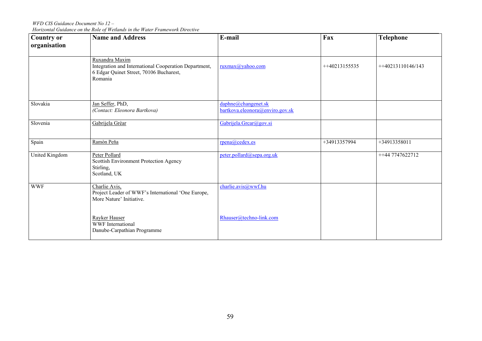*WFD CIS Guidance Document No 12 – Horizontal Guidance on the Role of Wetlands in the Water Framework Directive* 

| <b>Country or</b><br>organisation | <b>Name and Address</b>                                                                                                       | E-mail                                                 | Fax            | <b>Telephone</b>     |
|-----------------------------------|-------------------------------------------------------------------------------------------------------------------------------|--------------------------------------------------------|----------------|----------------------|
|                                   |                                                                                                                               |                                                        |                |                      |
|                                   | Ruxandra Maxim<br>Integration and International Cooperation Department,<br>6 Edgar Quinet Street, 70106 Bucharest,<br>Romania | ruxmax@yahoo.com                                       | $+40213155535$ | $+ +40213110146/143$ |
| Slovakia                          | Jan Seffer, PhD,<br>(Contact: Eleonora Bartkova)                                                                              | daphne@changenet.sk<br>bartkova.eleonora@enviro.gov.sk |                |                      |
| Slovenia                          | Gabrijela Grèar                                                                                                               | Gabrijela.Grcar@gov.si                                 |                |                      |
| Spain                             | Ramòn Peňa                                                                                                                    | rpena@cedex.es                                         | +34913357994   | +34913358011         |
| United Kingdom                    | Peter Pollard<br>Scottish Environment Protection Agency<br>Stirling,<br>Scotland, UK                                          | peter.pollard@sepa.org.uk                              |                | ++44 7747622712      |
| <b>WWF</b>                        | Charlie Avis,<br>Project Leader of WWF's International 'One Europe,<br>More Nature' Initiative.                               | charlie.avis@wwf.hu                                    |                |                      |
|                                   | Rayker Hauser<br>WWF International<br>Danube-Carpathian Programme                                                             | Rhauser@techno-link.com                                |                |                      |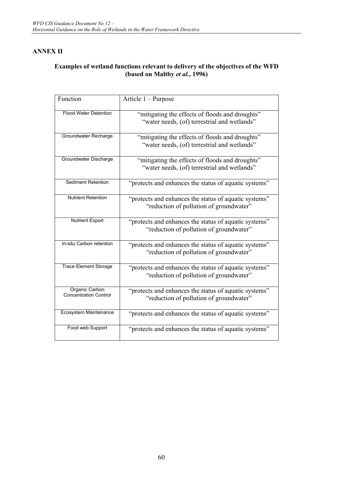## **ANNEX II**

## **Examples of wetland functions relevant to delivery of the objectives of the WFD (based on Maltby** *et al.***, 1996)**

| Function                                              | Article 1 - Purpose                                                                              |
|-------------------------------------------------------|--------------------------------------------------------------------------------------------------|
| <b>Flood Water Detention</b>                          | "mitigating the effects of floods and droughts"<br>"water needs, (of) terrestrial and wetlands"  |
| Groundwater Recharge                                  | "mitigating the effects of floods and droughts"<br>"water needs, (of) terrestrial and wetlands"  |
| Groundwater Discharge                                 | "mitigating the effects of floods and droughts"<br>"water needs, (of) terrestrial and wetlands"  |
| <b>Sediment Retention</b>                             | "protects and enhances the status of aquatic systems"                                            |
| <b>Nutrient Retention</b>                             | "protects and enhances the status of aquatic systems"<br>"reduction of pollution of groundwater" |
| <b>Nutrient Export</b>                                | "protects and enhances the status of aquatic systems"<br>"reduction of pollution of groundwater" |
| In-situ Carbon retention                              | "protects and enhances the status of aquatic systems"<br>"reduction of pollution of groundwater" |
| <b>Trace Element Storage</b>                          | "protects and enhances the status of aquatic systems"<br>"reduction of pollution of groundwater" |
| <b>Organic Carbon</b><br><b>Concentration Control</b> | "protects and enhances the status of aquatic systems"<br>"reduction of pollution of groundwater" |
| Ecosystem Maintenance                                 | "protects and enhances the status of aquatic systems"                                            |
| Food web Support                                      | "protects and enhances the status of aquatic systems"                                            |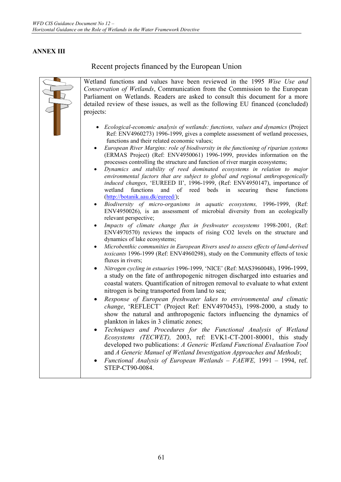## **ANNEX III**

Recent projects financed by the European Union

| Wetland functions and values have been reviewed in the 1995 Wise Use and<br>Conservation of Wetlands, Communication from the Commission to the European<br>Parliament on Wetlands. Readers are asked to consult this document for a more<br>detailed review of these issues, as well as the following EU financed (concluded)<br>projects:                                                                                                                                                                                                                                                                                                                                                                                                                                                                                                                                                                                                                                                                                                                                                                                                                                                                                                                                                                                                                                                                                                                                                                                                                                                                                                                                                                                                                                                                                                                                                                                                                                                                                                                                                                                                                                                                                                                                                                                                                             |
|------------------------------------------------------------------------------------------------------------------------------------------------------------------------------------------------------------------------------------------------------------------------------------------------------------------------------------------------------------------------------------------------------------------------------------------------------------------------------------------------------------------------------------------------------------------------------------------------------------------------------------------------------------------------------------------------------------------------------------------------------------------------------------------------------------------------------------------------------------------------------------------------------------------------------------------------------------------------------------------------------------------------------------------------------------------------------------------------------------------------------------------------------------------------------------------------------------------------------------------------------------------------------------------------------------------------------------------------------------------------------------------------------------------------------------------------------------------------------------------------------------------------------------------------------------------------------------------------------------------------------------------------------------------------------------------------------------------------------------------------------------------------------------------------------------------------------------------------------------------------------------------------------------------------------------------------------------------------------------------------------------------------------------------------------------------------------------------------------------------------------------------------------------------------------------------------------------------------------------------------------------------------------------------------------------------------------------------------------------------------|
| • Ecological-economic analysis of wetlands: functions, values and dynamics (Project<br>Ref: ENV4960273) 1996-1999, gives a complete assessment of wetland processes,<br>functions and their related economic values;<br>European River Margins: role of biodiversity in the functioning of riparian systems<br>(ERMAS Project) (Ref: ENV4950061) 1996-1999, provides information on the<br>processes controlling the structure and function of river margin ecosystems;<br>Dynamics and stability of reed dominated ecosystems in relation to major<br>environmental factors that are subject to global and regional anthropogenically<br>induced changes, 'EUREED II', 1996-1999, (Ref: ENV4950147), importance of<br>functions<br>and of reed beds in<br>securing these<br>functions<br>wetland<br>(http://botanik.aau.dk/eureed/);<br>Biodiversity of micro-organisms in aquatic ecosystems, 1996-1999, (Ref:<br>ENV4950026), is an assessment of microbial diversity from an ecologically<br>relevant perspective;<br>Impacts of climate change flux in freshwater ecosystems 1998-2001, (Ref:<br>ENV4970570) reviews the impacts of rising CO2 levels on the structure and<br>dynamics of lake ecosystems;<br>Microbenthic communities in European Rivers used to assess effects of land-derived<br>toxicants 1996-1999 (Ref: ENV4960298), study on the Community effects of toxic<br>fluxes in rivers;<br>Nitrogen cycling in estuaries 1996-1999, 'NICE' (Ref: MAS3960048), 1996-1999,<br>a study on the fate of anthropogenic nitrogen discharged into estuaries and<br>coastal waters. Quantification of nitrogen removal to evaluate to what extent<br>nitrogen is being transported from land to sea;<br>Response of European freshwater lakes to environmental and climatic<br>change, 'REFLECT' (Project Ref: ENV4970453), 1998-2000, a study to<br>show the natural and anthropogenic factors influencing the dynamics of<br>plankton in lakes in 3 climatic zones;<br>Techniques and Procedures for the Functional Analysis of Wetland<br>Ecosystems (TECWET), 2003, ref: EVK1-CT-2001-80001, this study<br>developed two publications: A Generic Wetland Functional Evaluation Tool<br>and A Generic Manuel of Wetland Investigation Approaches and Methods;<br>Functional Analysis of European Wetlands - FAEWE, 1991 - 1994, ref.<br>STEP-CT90-0084. |